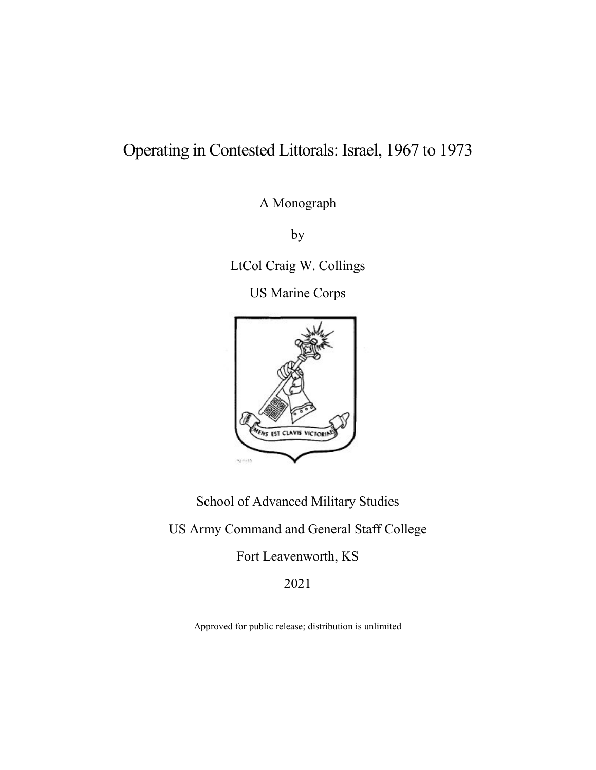# Operating in Contested Littorals: Israel, 1967 to 1973

A Monograph

by

LtCol Craig W. Collings

US Marine Corps



School of Advanced Military Studies

US Army Command and General Staff College

Fort Leavenworth, KS

2021

Approved for public release; distribution is unlimited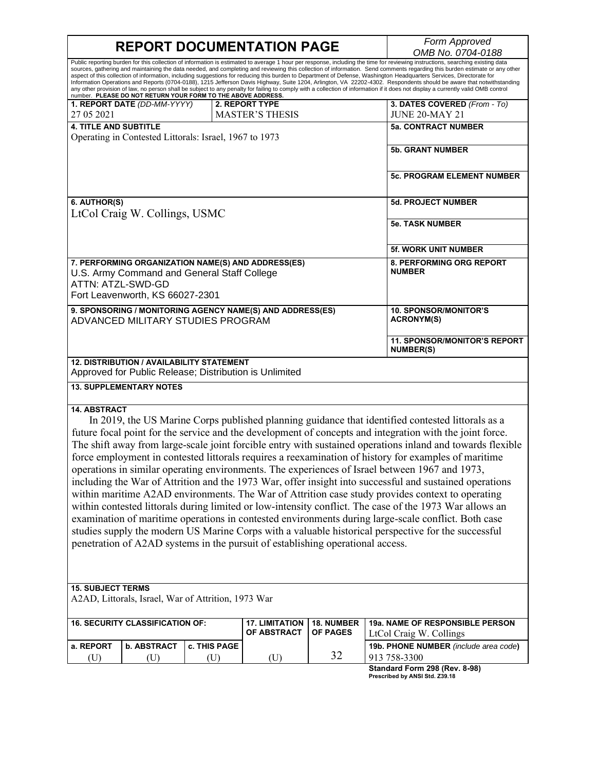$\mathsf I$ 

|                                                                                                                                                                                                                                                                                                                                                                                                                                                                                                                                                                                                                                                                                                                                                                                                                                                                                                                                                                                                                                                                                                                                                                                        | <b>REPORT DOCUMENTATION PAGE</b>                                                                                                     | Form Approved<br>OMB No. 0704-0188        |                                             |                                      |                                                         |  |
|----------------------------------------------------------------------------------------------------------------------------------------------------------------------------------------------------------------------------------------------------------------------------------------------------------------------------------------------------------------------------------------------------------------------------------------------------------------------------------------------------------------------------------------------------------------------------------------------------------------------------------------------------------------------------------------------------------------------------------------------------------------------------------------------------------------------------------------------------------------------------------------------------------------------------------------------------------------------------------------------------------------------------------------------------------------------------------------------------------------------------------------------------------------------------------------|--------------------------------------------------------------------------------------------------------------------------------------|-------------------------------------------|---------------------------------------------|--------------------------------------|---------------------------------------------------------|--|
| Public reporting burden for this collection of information is estimated to average 1 hour per response, including the time for reviewing instructions, searching existing data<br>sources, gathering and maintaining the data needed, and completing and reviewing this collection of information. Send comments regarding this burden estimate or any other<br>aspect of this collection of information, including suggestions for reducing this burden to Department of Defense, Washington Headquarters Services, Directorate for<br>Information Operations and Reports (0704-0188), 1215 Jefferson Davis Highway, Suite 1204, Arlington, VA 22202-4302. Respondents should be aware that notwithstanding<br>any other provision of law, no person shall be subject to any penalty for failing to comply with a collection of information if it does not display a currently valid OMB control<br>number. PLEASE DO NOT RETURN YOUR FORM TO THE ABOVE ADDRESS.                                                                                                                                                                                                                      |                                                                                                                                      |                                           |                                             |                                      |                                                         |  |
| 27 05 2021                                                                                                                                                                                                                                                                                                                                                                                                                                                                                                                                                                                                                                                                                                                                                                                                                                                                                                                                                                                                                                                                                                                                                                             | 1. REPORT DATE (DD-MM-YYYY)                                                                                                          |                                           | 2. REPORT TYPE<br><b>MASTER'S THESIS</b>    |                                      | 3. DATES COVERED (From - To)<br><b>JUNE 20-MAY 21</b>   |  |
| <b>4. TITLE AND SUBTITLE</b>                                                                                                                                                                                                                                                                                                                                                                                                                                                                                                                                                                                                                                                                                                                                                                                                                                                                                                                                                                                                                                                                                                                                                           |                                                                                                                                      |                                           |                                             |                                      | <b>5a. CONTRACT NUMBER</b>                              |  |
|                                                                                                                                                                                                                                                                                                                                                                                                                                                                                                                                                                                                                                                                                                                                                                                                                                                                                                                                                                                                                                                                                                                                                                                        | Operating in Contested Littorals: Israel, 1967 to 1973                                                                               |                                           |                                             |                                      |                                                         |  |
|                                                                                                                                                                                                                                                                                                                                                                                                                                                                                                                                                                                                                                                                                                                                                                                                                                                                                                                                                                                                                                                                                                                                                                                        |                                                                                                                                      |                                           |                                             |                                      | <b>5b. GRANT NUMBER</b>                                 |  |
|                                                                                                                                                                                                                                                                                                                                                                                                                                                                                                                                                                                                                                                                                                                                                                                                                                                                                                                                                                                                                                                                                                                                                                                        |                                                                                                                                      |                                           |                                             |                                      | <b>5c. PROGRAM ELEMENT NUMBER</b>                       |  |
| 6. AUTHOR(S)                                                                                                                                                                                                                                                                                                                                                                                                                                                                                                                                                                                                                                                                                                                                                                                                                                                                                                                                                                                                                                                                                                                                                                           |                                                                                                                                      |                                           |                                             |                                      | <b>5d. PROJECT NUMBER</b>                               |  |
|                                                                                                                                                                                                                                                                                                                                                                                                                                                                                                                                                                                                                                                                                                                                                                                                                                                                                                                                                                                                                                                                                                                                                                                        | LtCol Craig W. Collings, USMC                                                                                                        |                                           |                                             |                                      |                                                         |  |
|                                                                                                                                                                                                                                                                                                                                                                                                                                                                                                                                                                                                                                                                                                                                                                                                                                                                                                                                                                                                                                                                                                                                                                                        |                                                                                                                                      |                                           |                                             |                                      | <b>5e. TASK NUMBER</b>                                  |  |
|                                                                                                                                                                                                                                                                                                                                                                                                                                                                                                                                                                                                                                                                                                                                                                                                                                                                                                                                                                                                                                                                                                                                                                                        |                                                                                                                                      |                                           |                                             |                                      | <b>5f. WORK UNIT NUMBER</b>                             |  |
| ATTN: ATZL-SWD-GD                                                                                                                                                                                                                                                                                                                                                                                                                                                                                                                                                                                                                                                                                                                                                                                                                                                                                                                                                                                                                                                                                                                                                                      | 7. PERFORMING ORGANIZATION NAME(S) AND ADDRESS(ES)<br>U.S. Army Command and General Staff College<br>Fort Leavenworth, KS 66027-2301 | 8. PERFORMING ORG REPORT<br><b>NUMBER</b> |                                             |                                      |                                                         |  |
|                                                                                                                                                                                                                                                                                                                                                                                                                                                                                                                                                                                                                                                                                                                                                                                                                                                                                                                                                                                                                                                                                                                                                                                        |                                                                                                                                      |                                           |                                             |                                      | <b>10. SPONSOR/MONITOR'S</b>                            |  |
| 9. SPONSORING / MONITORING AGENCY NAME(S) AND ADDRESS(ES)<br>ADVANCED MILITARY STUDIES PROGRAM                                                                                                                                                                                                                                                                                                                                                                                                                                                                                                                                                                                                                                                                                                                                                                                                                                                                                                                                                                                                                                                                                         |                                                                                                                                      |                                           |                                             |                                      | <b>ACRONYM(S)</b>                                       |  |
|                                                                                                                                                                                                                                                                                                                                                                                                                                                                                                                                                                                                                                                                                                                                                                                                                                                                                                                                                                                                                                                                                                                                                                                        |                                                                                                                                      |                                           |                                             |                                      | <b>11. SPONSOR/MONITOR'S REPORT</b><br><b>NUMBER(S)</b> |  |
| <b>12. DISTRIBUTION / AVAILABILITY STATEMENT</b><br>Approved for Public Release; Distribution is Unlimited                                                                                                                                                                                                                                                                                                                                                                                                                                                                                                                                                                                                                                                                                                                                                                                                                                                                                                                                                                                                                                                                             |                                                                                                                                      |                                           |                                             |                                      |                                                         |  |
| <b>13. SUPPLEMENTARY NOTES</b>                                                                                                                                                                                                                                                                                                                                                                                                                                                                                                                                                                                                                                                                                                                                                                                                                                                                                                                                                                                                                                                                                                                                                         |                                                                                                                                      |                                           |                                             |                                      |                                                         |  |
| <b>14. ABSTRACT</b><br>In 2019, the US Marine Corps published planning guidance that identified contested littorals as a<br>future focal point for the service and the development of concepts and integration with the joint force.<br>The shift away from large-scale joint forcible entry with sustained operations inland and towards flexible<br>force employment in contested littorals requires a reexamination of history for examples of maritime<br>operations in similar operating environments. The experiences of Israel between 1967 and 1973,<br>including the War of Attrition and the 1973 War, offer insight into successful and sustained operations<br>within maritime A2AD environments. The War of Attrition case study provides context to operating<br>within contested littorals during limited or low-intensity conflict. The case of the 1973 War allows an<br>examination of maritime operations in contested environments during large-scale conflict. Both case<br>studies supply the modern US Marine Corps with a valuable historical perspective for the successful<br>penetration of A2AD systems in the pursuit of establishing operational access. |                                                                                                                                      |                                           |                                             |                                      |                                                         |  |
| <b>15. SUBJECT TERMS</b><br>A2AD, Littorals, Israel, War of Attrition, 1973 War                                                                                                                                                                                                                                                                                                                                                                                                                                                                                                                                                                                                                                                                                                                                                                                                                                                                                                                                                                                                                                                                                                        |                                                                                                                                      |                                           |                                             |                                      |                                                         |  |
|                                                                                                                                                                                                                                                                                                                                                                                                                                                                                                                                                                                                                                                                                                                                                                                                                                                                                                                                                                                                                                                                                                                                                                                        |                                                                                                                                      |                                           |                                             |                                      |                                                         |  |
| <b>16. SECURITY CLASSIFICATION OF:</b>                                                                                                                                                                                                                                                                                                                                                                                                                                                                                                                                                                                                                                                                                                                                                                                                                                                                                                                                                                                                                                                                                                                                                 |                                                                                                                                      |                                           | <b>17. LIMITATION</b><br><b>OF ABSTRACT</b> | <b>18. NUMBER</b><br><b>OF PAGES</b> | 19a. NAME OF RESPONSIBLE PERSON                         |  |
|                                                                                                                                                                                                                                                                                                                                                                                                                                                                                                                                                                                                                                                                                                                                                                                                                                                                                                                                                                                                                                                                                                                                                                                        |                                                                                                                                      |                                           |                                             |                                      | LtCol Craig W. Collings                                 |  |
| a. REPORT                                                                                                                                                                                                                                                                                                                                                                                                                                                                                                                                                                                                                                                                                                                                                                                                                                                                                                                                                                                                                                                                                                                                                                              | <b>b. ABSTRACT</b>                                                                                                                   | c. THIS PAGE                              |                                             | 32                                   | 19b. PHONE NUMBER (include area code)                   |  |
| (U)                                                                                                                                                                                                                                                                                                                                                                                                                                                                                                                                                                                                                                                                                                                                                                                                                                                                                                                                                                                                                                                                                                                                                                                    | (U)                                                                                                                                  | (U)                                       | (U)                                         |                                      | 913 758-3300<br>Standard Form 298 (Rev. 8-98)           |  |

**Standard Form 298 (Rev. 8-98) Prescribed by ANSI Std. Z39.18**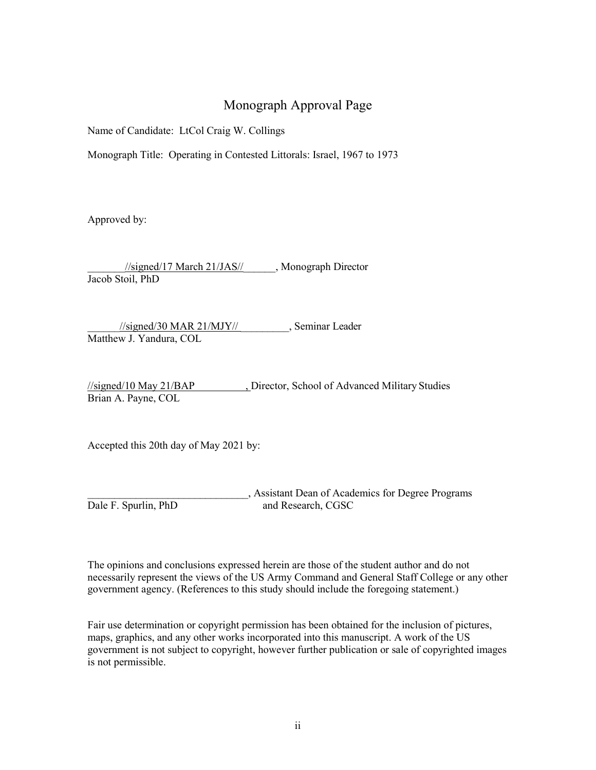# Monograph Approval Page

Name of Candidate: LtCol Craig W. Collings

Monograph Title: Operating in Contested Littorals: Israel, 1967 to 1973

Approved by:

\_\_\_\_\_\_\_//signed/17 March 21/JAS//\_\_\_\_\_\_, Monograph Director Jacob Stoil, PhD

 $\frac{1}{\sqrt{2}}$  //signed/30 MAR 21/MJY//  $\qquad \qquad$ , Seminar Leader Matthew J. Yandura, COL

//signed/10 May 21/BAP , Director, School of Advanced Military Studies Brian A. Payne, COL

Accepted this 20th day of May 2021 by:

\_\_\_\_\_\_\_\_\_\_\_\_\_\_\_\_\_\_\_\_\_\_\_\_\_\_\_\_\_\_, Assistant Dean of Academics for Degree Programs Dale F. Spurlin, PhD and Research, CGSC

The opinions and conclusions expressed herein are those of the student author and do not necessarily represent the views of the US Army Command and General Staff College or any other government agency. (References to this study should include the foregoing statement.)

Fair use determination or copyright permission has been obtained for the inclusion of pictures, maps, graphics, and any other works incorporated into this manuscript. A work of the US government is not subject to copyright, however further publication or sale of copyrighted images is not permissible.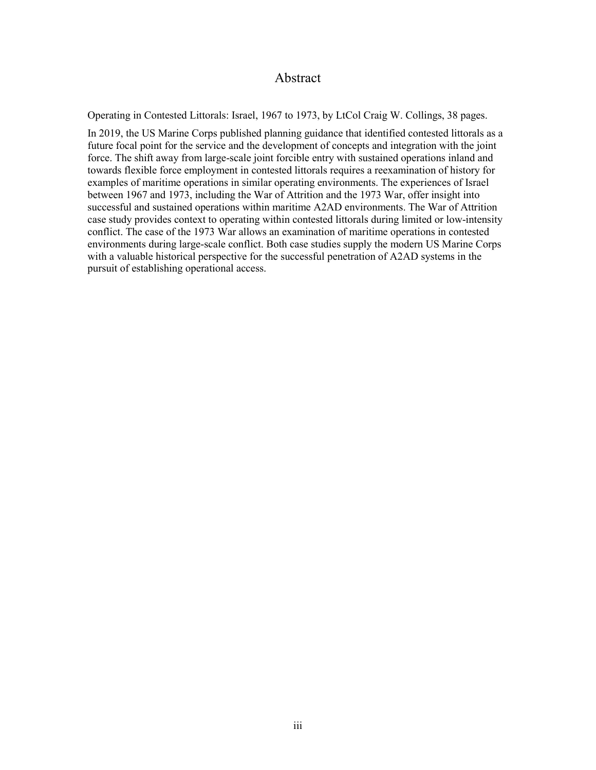# Abstract

Operating in Contested Littorals: Israel, 1967 to 1973, by LtCol Craig W. Collings, 38 pages.

In 2019, the US Marine Corps published planning guidance that identified contested littorals as a future focal point for the service and the development of concepts and integration with the joint force. The shift away from large-scale joint forcible entry with sustained operations inland and towards flexible force employment in contested littorals requires a reexamination of history for examples of maritime operations in similar operating environments. The experiences of Israel between 1967 and 1973, including the War of Attrition and the 1973 War, offer insight into successful and sustained operations within maritime A2AD environments. The War of Attrition case study provides context to operating within contested littorals during limited or low-intensity conflict. The case of the 1973 War allows an examination of maritime operations in contested environments during large-scale conflict. Both case studies supply the modern US Marine Corps with a valuable historical perspective for the successful penetration of A2AD systems in the pursuit of establishing operational access.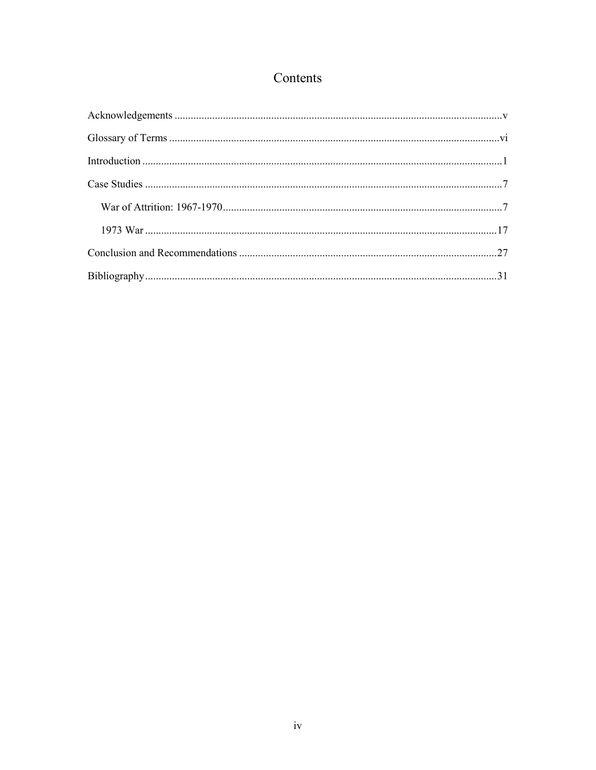# Contents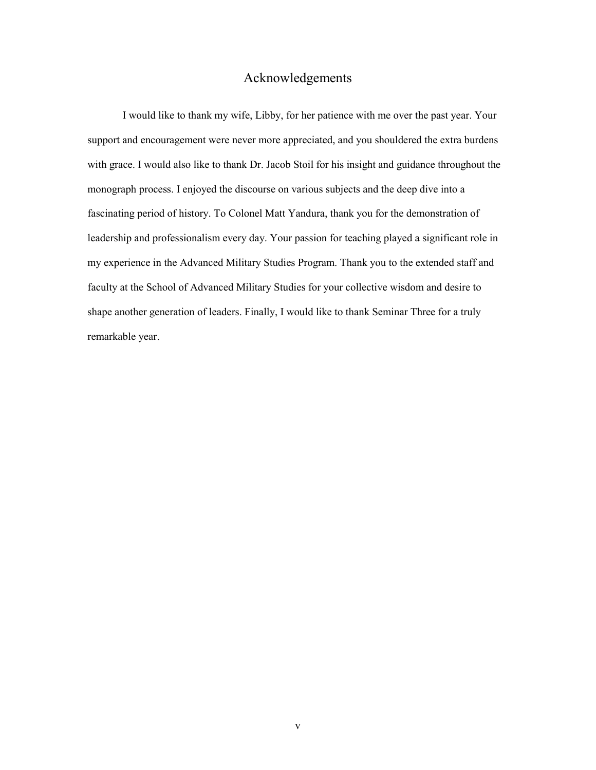# Acknowledgements

<span id="page-5-0"></span>I would like to thank my wife, Libby, for her patience with me over the past year. Your support and encouragement were never more appreciated, and you shouldered the extra burdens with grace. I would also like to thank Dr. Jacob Stoil for his insight and guidance throughout the monograph process. I enjoyed the discourse on various subjects and the deep dive into a fascinating period of history. To Colonel Matt Yandura, thank you for the demonstration of leadership and professionalism every day. Your passion for teaching played a significant role in my experience in the Advanced Military Studies Program. Thank you to the extended staff and faculty at the School of Advanced Military Studies for your collective wisdom and desire to shape another generation of leaders. Finally, I would like to thank Seminar Three for a truly remarkable year.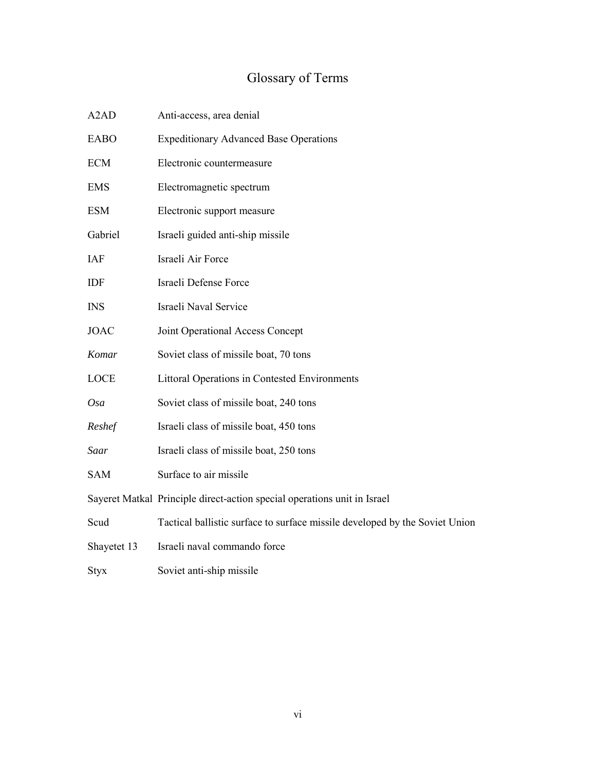# Glossary of Terms

<span id="page-6-0"></span>

| A <sub>2</sub> A <sub>D</sub> | Anti-access, area denial                                                    |
|-------------------------------|-----------------------------------------------------------------------------|
| <b>EABO</b>                   | <b>Expeditionary Advanced Base Operations</b>                               |
| ECM                           | Electronic countermeasure                                                   |
| <b>EMS</b>                    | Electromagnetic spectrum                                                    |
| <b>ESM</b>                    | Electronic support measure                                                  |
| Gabriel                       | Israeli guided anti-ship missile                                            |
| IAF                           | Israeli Air Force                                                           |
| IDF                           | Israeli Defense Force                                                       |
| <b>INS</b>                    | Israeli Naval Service                                                       |
| <b>JOAC</b>                   | Joint Operational Access Concept                                            |
| Komar                         | Soviet class of missile boat, 70 tons                                       |
| LOCE                          | <b>Littoral Operations in Contested Environments</b>                        |
| Osa                           | Soviet class of missile boat, 240 tons                                      |
| Reshef                        | Israeli class of missile boat, 450 tons                                     |
| Saar                          | Israeli class of missile boat, 250 tons                                     |
| <b>SAM</b>                    | Surface to air missile                                                      |
|                               | Sayeret Matkal Principle direct-action special operations unit in Israel    |
| Scud                          | Tactical ballistic surface to surface missile developed by the Soviet Union |
| Shayetet 13                   | Israeli naval commando force                                                |
| <b>Styx</b>                   | Soviet anti-ship missile                                                    |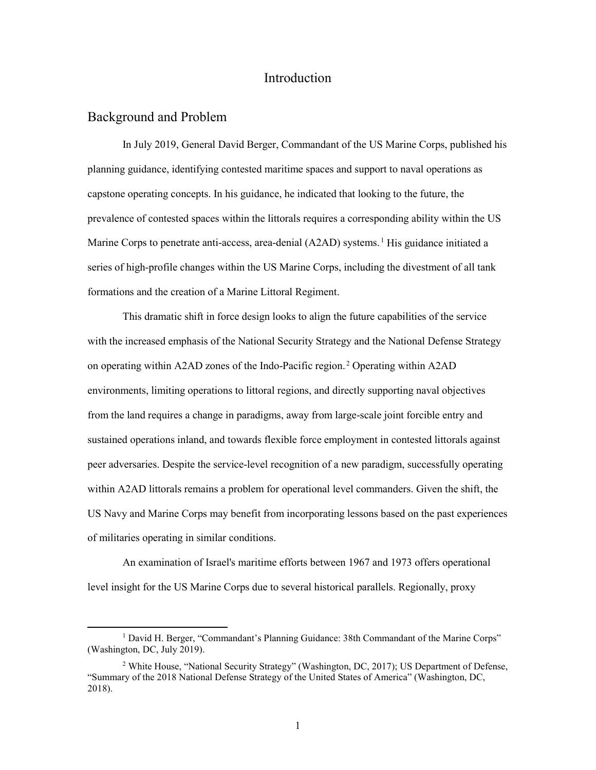# Introduction

#### <span id="page-7-0"></span>Background and Problem

In July 2019, General David Berger, Commandant of the US Marine Corps, published his planning guidance, identifying contested maritime spaces and support to naval operations as capstone operating concepts. In his guidance, he indicated that looking to the future, the prevalence of contested spaces within the littorals requires a corresponding ability within the US Marine Corps to penetrate anti-access, area-denial (A2AD) systems.<sup>1</sup> His guidance initiated a series of high-profile changes within the US Marine Corps, including the divestment of all tank formations and the creation of a Marine Littoral Regiment.

This dramatic shift in force design looks to align the future capabilities of the service with the increased emphasis of the National Security Strategy and the National Defense Strategy on operating within A2AD zones of the Indo-Pacific region.<sup>2</sup> Operating within A2AD environments, limiting operations to littoral regions, and directly supporting naval objectives from the land requires a change in paradigms, away from large-scale joint forcible entry and sustained operations inland, and towards flexible force employment in contested littorals against peer adversaries. Despite the service-level recognition of a new paradigm, successfully operating within A2AD littorals remains a problem for operational level commanders. Given the shift, the US Navy and Marine Corps may benefit from incorporating lessons based on the past experiences of militaries operating in similar conditions.

An examination of Israel's maritime efforts between 1967 and 1973 offers operational level insight for the US Marine Corps due to several historical parallels. Regionally, proxy

<sup>&</sup>lt;sup>1</sup> David H. Berger, "Commandant's Planning Guidance: 38th Commandant of the Marine Corps" (Washington, DC, July 2019).

<sup>2</sup> White House, "National Security Strategy" (Washington, DC, 2017); US Department of Defense, "Summary of the 2018 National Defense Strategy of the United States of America" (Washington, DC, 2018).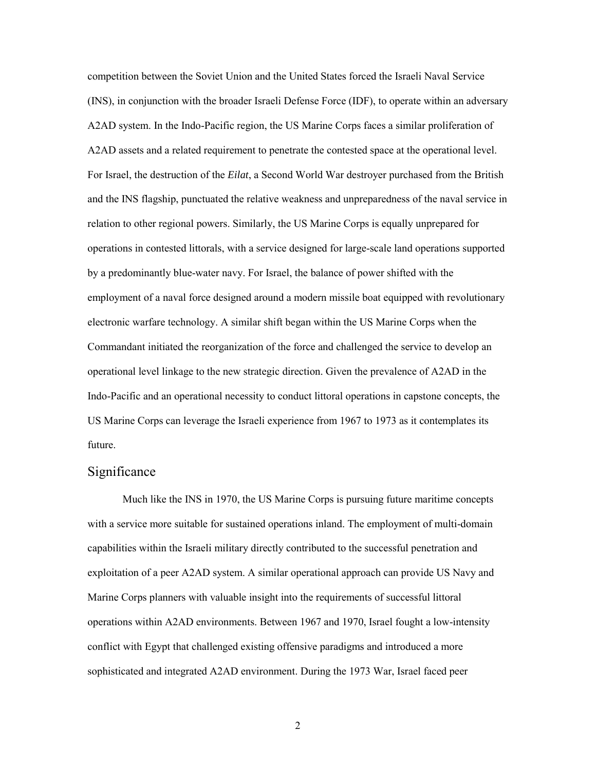competition between the Soviet Union and the United States forced the Israeli Naval Service (INS), in conjunction with the broader Israeli Defense Force (IDF), to operate within an adversary A2AD system. In the Indo-Pacific region, the US Marine Corps faces a similar proliferation of A2AD assets and a related requirement to penetrate the contested space at the operational level. For Israel, the destruction of the *Eilat*, a Second World War destroyer purchased from the British and the INS flagship, punctuated the relative weakness and unpreparedness of the naval service in relation to other regional powers. Similarly, the US Marine Corps is equally unprepared for operations in contested littorals, with a service designed for large-scale land operations supported by a predominantly blue-water navy. For Israel, the balance of power shifted with the employment of a naval force designed around a modern missile boat equipped with revolutionary electronic warfare technology. A similar shift began within the US Marine Corps when the Commandant initiated the reorganization of the force and challenged the service to develop an operational level linkage to the new strategic direction. Given the prevalence of A2AD in the Indo-Pacific and an operational necessity to conduct littoral operations in capstone concepts, the US Marine Corps can leverage the Israeli experience from 1967 to 1973 as it contemplates its future.

#### Significance

Much like the INS in 1970, the US Marine Corps is pursuing future maritime concepts with a service more suitable for sustained operations inland. The employment of multi-domain capabilities within the Israeli military directly contributed to the successful penetration and exploitation of a peer A2AD system. A similar operational approach can provide US Navy and Marine Corps planners with valuable insight into the requirements of successful littoral operations within A2AD environments. Between 1967 and 1970, Israel fought a low-intensity conflict with Egypt that challenged existing offensive paradigms and introduced a more sophisticated and integrated A2AD environment. During the 1973 War, Israel faced peer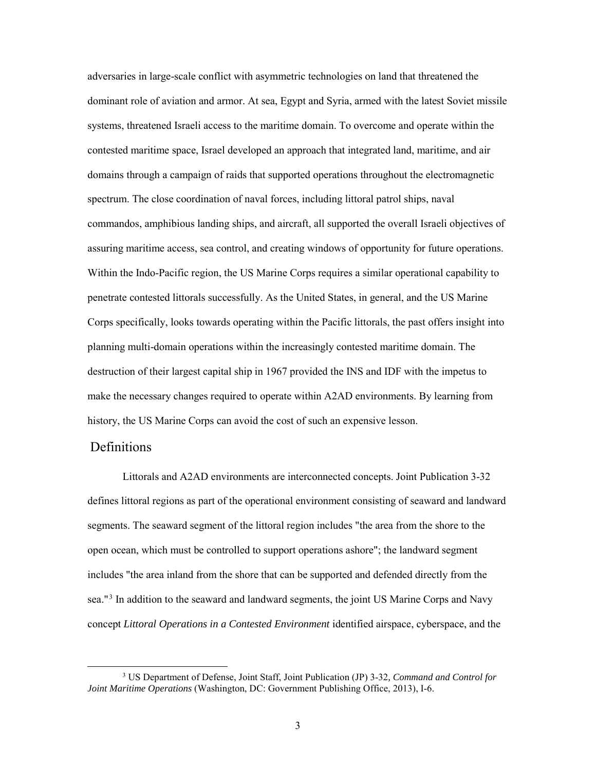adversaries in large-scale conflict with asymmetric technologies on land that threatened the dominant role of aviation and armor. At sea, Egypt and Syria, armed with the latest Soviet missile systems, threatened Israeli access to the maritime domain. To overcome and operate within the contested maritime space, Israel developed an approach that integrated land, maritime, and air domains through a campaign of raids that supported operations throughout the electromagnetic spectrum. The close coordination of naval forces, including littoral patrol ships, naval commandos, amphibious landing ships, and aircraft, all supported the overall Israeli objectives of assuring maritime access, sea control, and creating windows of opportunity for future operations. Within the Indo-Pacific region, the US Marine Corps requires a similar operational capability to penetrate contested littorals successfully. As the United States, in general, and the US Marine Corps specifically, looks towards operating within the Pacific littorals, the past offers insight into planning multi-domain operations within the increasingly contested maritime domain. The destruction of their largest capital ship in 1967 provided the INS and IDF with the impetus to make the necessary changes required to operate within A2AD environments. By learning from history, the US Marine Corps can avoid the cost of such an expensive lesson.

## Definitions

Littorals and A2AD environments are interconnected concepts. Joint Publication 3-32 defines littoral regions as part of the operational environment consisting of seaward and landward segments. The seaward segment of the littoral region includes "the area from the shore to the open ocean, which must be controlled to support operations ashore"; the landward segment includes "the area inland from the shore that can be supported and defended directly from the sea."<sup>3</sup> In addition to the seaward and landward segments, the joint US Marine Corps and Navy concept *Littoral Operations in a Contested Environment* identified airspace, cyberspace, and the

 <sup>3</sup> US Department of Defense, Joint Staff, Joint Publication (JP) 3-32*, Command and Control for Joint Maritime Operations* (Washington, DC: Government Publishing Office, 2013), I-6.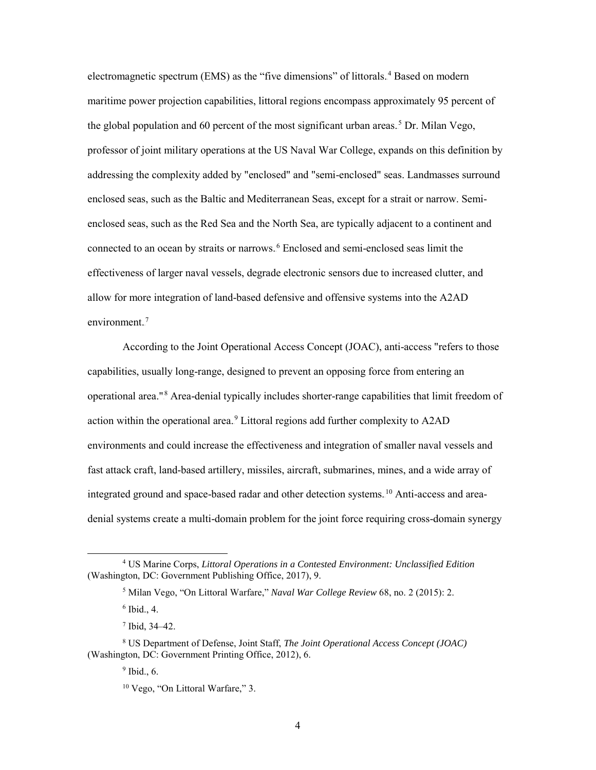electromagnetic spectrum (EMS) as the "five dimensions" of littorals.<sup>4</sup> Based on modern maritime power projection capabilities, littoral regions encompass approximately 95 percent of the global population and 60 percent of the most significant urban areas.<sup>5</sup> Dr. Milan Vego, professor of joint military operations at the US Naval War College, expands on this definition by addressing the complexity added by "enclosed" and "semi-enclosed" seas. Landmasses surround enclosed seas, such as the Baltic and Mediterranean Seas, except for a strait or narrow. Semienclosed seas, such as the Red Sea and the North Sea, are typically adjacent to a continent and connected to an ocean by straits or narrows.<sup>6</sup> Enclosed and semi-enclosed seas limit the effectiveness of larger naval vessels, degrade electronic sensors due to increased clutter, and allow for more integration of land-based defensive and offensive systems into the A2AD  $environment.<sup>7</sup>$ 

According to the Joint Operational Access Concept (JOAC), anti-access "refers to those capabilities, usually long-range, designed to prevent an opposing force from entering an operational area."<sup>8</sup> Area-denial typically includes shorter-range capabilities that limit freedom of action within the operational area.<sup>9</sup> Littoral regions add further complexity to A2AD environments and could increase the effectiveness and integration of smaller naval vessels and fast attack craft, land-based artillery, missiles, aircraft, submarines, mines, and a wide array of integrated ground and space-based radar and other detection systems.<sup>10</sup> Anti-access and areadenial systems create a multi-domain problem for the joint force requiring cross-domain synergy

 <sup>4</sup> US Marine Corps, *Littoral Operations in a Contested Environment: Unclassified Edition* (Washington, DC: Government Publishing Office, 2017), 9.

<sup>5</sup> Milan Vego, "On Littoral Warfare," *Naval War College Review* 68, no. 2 (2015): 2.

 $6$  Ibid., 4.

<sup>7</sup> Ibid, 34–42.

<sup>8</sup> US Department of Defense, Joint Staff, *The Joint Operational Access Concept (JOAC)* (Washington, DC: Government Printing Office, 2012), 6.

 $9$  Ibid., 6.

<sup>&</sup>lt;sup>10</sup> Vego, "On Littoral Warfare," 3.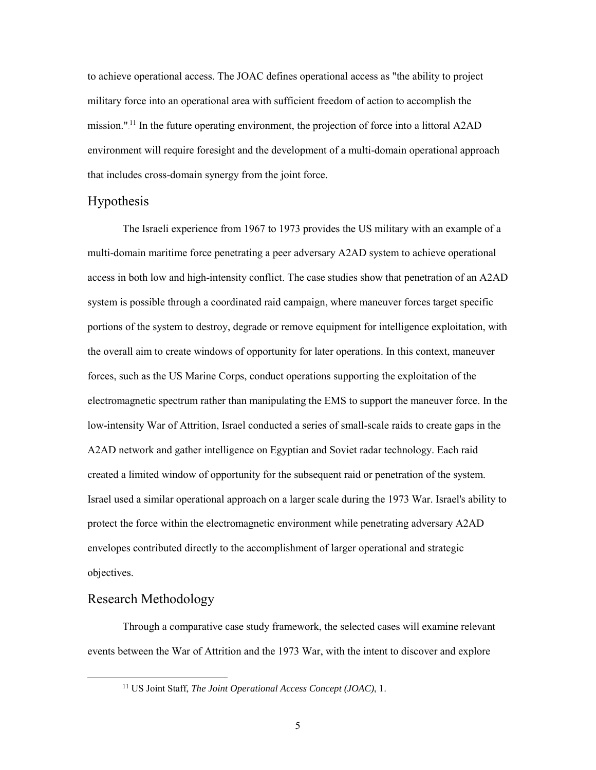to achieve operational access. The JOAC defines operational access as "the ability to project military force into an operational area with sufficient freedom of action to accomplish the mission."<sup>11</sup> In the future operating environment, the projection of force into a littoral A2AD environment will require foresight and the development of a multi-domain operational approach that includes cross-domain synergy from the joint force.

#### Hypothesis

The Israeli experience from 1967 to 1973 provides the US military with an example of a multi-domain maritime force penetrating a peer adversary A2AD system to achieve operational access in both low and high-intensity conflict. The case studies show that penetration of an A2AD system is possible through a coordinated raid campaign, where maneuver forces target specific portions of the system to destroy, degrade or remove equipment for intelligence exploitation, with the overall aim to create windows of opportunity for later operations. In this context, maneuver forces, such as the US Marine Corps, conduct operations supporting the exploitation of the electromagnetic spectrum rather than manipulating the EMS to support the maneuver force. In the low-intensity War of Attrition, Israel conducted a series of small-scale raids to create gaps in the A2AD network and gather intelligence on Egyptian and Soviet radar technology. Each raid created a limited window of opportunity for the subsequent raid or penetration of the system. Israel used a similar operational approach on a larger scale during the 1973 War. Israel's ability to protect the force within the electromagnetic environment while penetrating adversary A2AD envelopes contributed directly to the accomplishment of larger operational and strategic objectives.

## Research Methodology

Through a comparative case study framework, the selected cases will examine relevant events between the War of Attrition and the 1973 War, with the intent to discover and explore

 <sup>11</sup> US Joint Staff, *The Joint Operational Access Concept (JOAC)*, 1.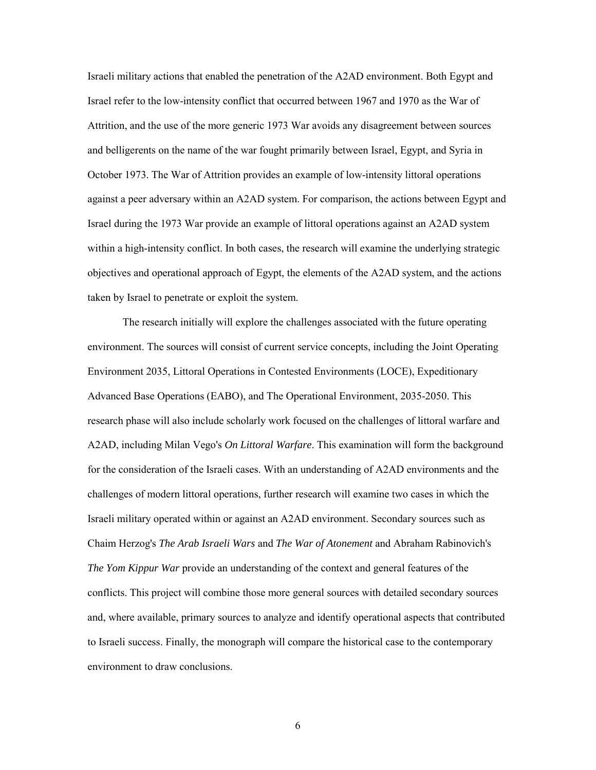Israeli military actions that enabled the penetration of the A2AD environment. Both Egypt and Israel refer to the low-intensity conflict that occurred between 1967 and 1970 as the War of Attrition, and the use of the more generic 1973 War avoids any disagreement between sources and belligerents on the name of the war fought primarily between Israel, Egypt, and Syria in October 1973. The War of Attrition provides an example of low-intensity littoral operations against a peer adversary within an A2AD system. For comparison, the actions between Egypt and Israel during the 1973 War provide an example of littoral operations against an A2AD system within a high-intensity conflict. In both cases, the research will examine the underlying strategic objectives and operational approach of Egypt, the elements of the A2AD system, and the actions taken by Israel to penetrate or exploit the system.

The research initially will explore the challenges associated with the future operating environment. The sources will consist of current service concepts, including the Joint Operating Environment 2035, Littoral Operations in Contested Environments (LOCE), Expeditionary Advanced Base Operations (EABO), and The Operational Environment, 2035-2050. This research phase will also include scholarly work focused on the challenges of littoral warfare and A2AD, including Milan Vego's *On Littoral Warfare*. This examination will form the background for the consideration of the Israeli cases. With an understanding of A2AD environments and the challenges of modern littoral operations, further research will examine two cases in which the Israeli military operated within or against an A2AD environment. Secondary sources such as Chaim Herzog's *The Arab Israeli Wars* and *The War of Atonement* and Abraham Rabinovich's *The Yom Kippur War* provide an understanding of the context and general features of the conflicts. This project will combine those more general sources with detailed secondary sources and, where available, primary sources to analyze and identify operational aspects that contributed to Israeli success. Finally, the monograph will compare the historical case to the contemporary environment to draw conclusions.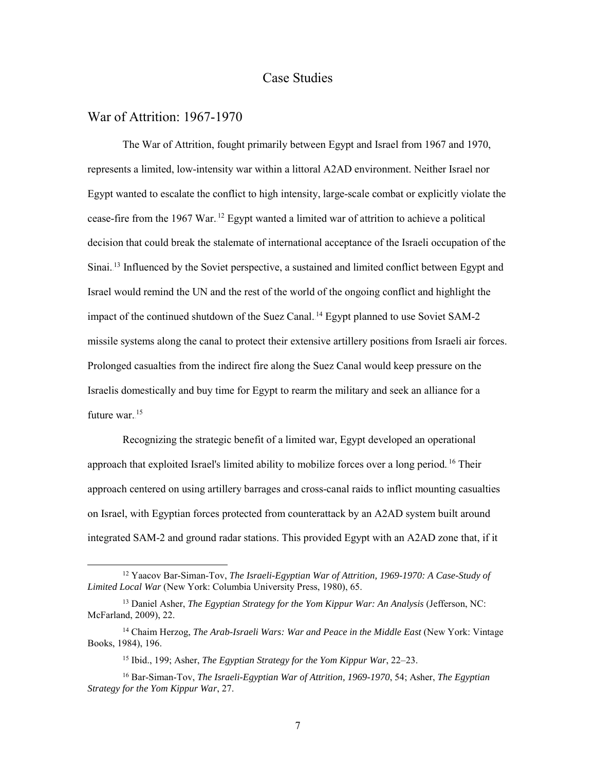# Case Studies

#### <span id="page-13-1"></span><span id="page-13-0"></span>War of Attrition: 1967-1970

The War of Attrition, fought primarily between Egypt and Israel from 1967 and 1970, represents a limited, low-intensity war within a littoral A2AD environment. Neither Israel nor Egypt wanted to escalate the conflict to high intensity, large-scale combat or explicitly violate the cease-fire from the 1967 War.<sup>12</sup> Egypt wanted a limited war of attrition to achieve a political decision that could break the stalemate of international acceptance of the Israeli occupation of the Sinai.<sup>13</sup> Influenced by the Soviet perspective, a sustained and limited conflict between Egypt and Israel would remind the UN and the rest of the world of the ongoing conflict and highlight the impact of the continued shutdown of the Suez Canal.<sup>14</sup> Egypt planned to use Soviet SAM-2 missile systems along the canal to protect their extensive artillery positions from Israeli air forces. Prolonged casualties from the indirect fire along the Suez Canal would keep pressure on the Israelis domestically and buy time for Egypt to rearm the military and seek an alliance for a future war.<sup>15</sup>

Recognizing the strategic benefit of a limited war, Egypt developed an operational approach that exploited Israel's limited ability to mobilize forces over a long period.<sup>16</sup> Their approach centered on using artillery barrages and cross-canal raids to inflict mounting casualties on Israel, with Egyptian forces protected from counterattack by an A2AD system built around integrated SAM-2 and ground radar stations. This provided Egypt with an A2AD zone that, if it

 <sup>12</sup> Yaacov Bar-Siman-Tov, *The Israeli-Egyptian War of Attrition, 1969-1970: A Case-Study of Limited Local War* (New York: Columbia University Press, 1980), 65.

<sup>&</sup>lt;sup>13</sup> Daniel Asher, *The Egyptian Strategy for the Yom Kippur War: An Analysis* (Jefferson, NC: McFarland, 2009), 22.

<sup>14</sup> Chaim Herzog, *The Arab-Israeli Wars: War and Peace in the Middle East* (New York: Vintage Books, 1984), 196.

<sup>15</sup> Ibid., 199; Asher, *The Egyptian Strategy for the Yom Kippur War*, 22–23.

<sup>16</sup> Bar-Siman-Tov, *The Israeli-Egyptian War of Attrition, 1969-1970*, 54; Asher, *The Egyptian Strategy for the Yom Kippur War*, 27.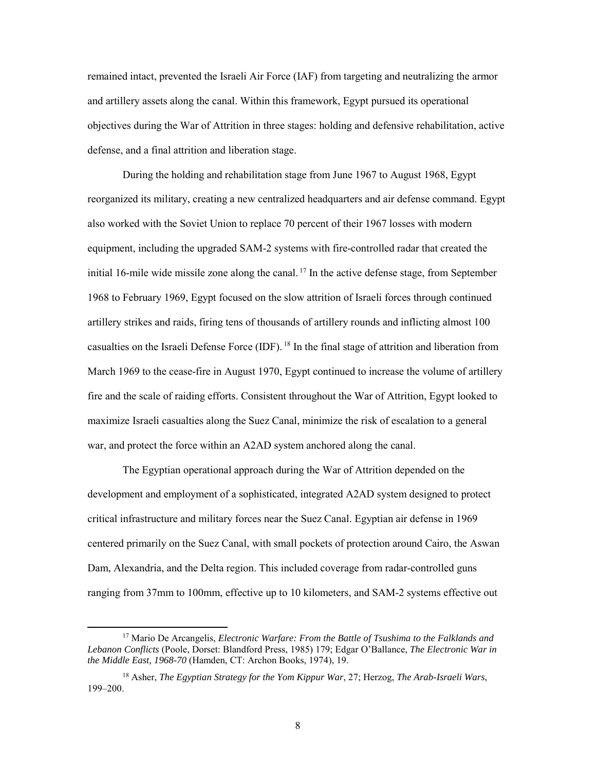remained intact, prevented the Israeli Air Force (IAF) from targeting and neutralizing the armor and artillery assets along the canal. Within this framework, Egypt pursued its operational objectives during the War of Attrition in three stages: holding and defensive rehabilitation, active defense, and a final attrition and liberation stage.

During the holding and rehabilitation stage from June 1967 to August 1968, Egypt reorganized its military, creating a new centralized headquarters and air defense command. Egypt also worked with the Soviet Union to replace 70 percent of their 1967 losses with modern equipment, including the upgraded SAM-2 systems with fire-controlled radar that created the initial 16-mile wide missile zone along the canal.<sup>17</sup> In the active defense stage, from September 1968 to February 1969, Egypt focused on the slow attrition of Israeli forces through continued artillery strikes and raids, firing tens of thousands of artillery rounds and inflicting almost 100 casualties on the Israeli Defense Force (IDF).<sup>18</sup> In the final stage of attrition and liberation from March 1969 to the cease-fire in August 1970, Egypt continued to increase the volume of artillery fire and the scale of raiding efforts. Consistent throughout the War of Attrition, Egypt looked to maximize Israeli casualties along the Suez Canal, minimize the risk of escalation to a general war, and protect the force within an A2AD system anchored along the canal.

The Egyptian operational approach during the War of Attrition depended on the development and employment of a sophisticated, integrated A2AD system designed to protect critical infrastructure and military forces near the Suez Canal. Egyptian air defense in 1969 centered primarily on the Suez Canal, with small pockets of protection around Cairo, the Aswan Dam, Alexandria, and the Delta region. This included coverage from radar-controlled guns ranging from 37mm to 100mm, effective up to 10 kilometers, and SAM-2 systems effective out

 <sup>17</sup> Mario De Arcangelis, *Electronic Warfare: From the Battle of Tsushima to the Falklands and Lebanon Conflicts* (Poole, Dorset: Blandford Press, 1985) 179; Edgar O'Ballance, *The Electronic War in the Middle East, 1968-70* (Hamden, CT: Archon Books, 1974), 19.

<sup>18</sup> Asher, *The Egyptian Strategy for the Yom Kippur War*, 27; Herzog, *The Arab-Israeli Wars*, 199–200.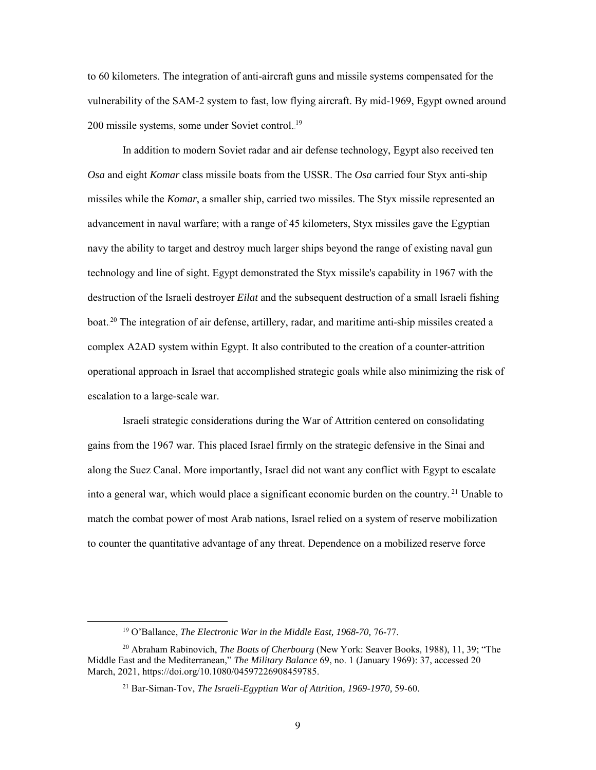to 60 kilometers. The integration of anti-aircraft guns and missile systems compensated for the vulnerability of the SAM-2 system to fast, low flying aircraft. By mid-1969, Egypt owned around 200 missile systems, some under Soviet control.<sup>19</sup>

In addition to modern Soviet radar and air defense technology, Egypt also received ten *Osa* and eight *Komar* class missile boats from the USSR. The *Osa* carried four Styx anti-ship missiles while the *Komar*, a smaller ship, carried two missiles. The Styx missile represented an advancement in naval warfare; with a range of 45 kilometers, Styx missiles gave the Egyptian navy the ability to target and destroy much larger ships beyond the range of existing naval gun technology and line of sight. Egypt demonstrated the Styx missile's capability in 1967 with the destruction of the Israeli destroyer *Eilat* and the subsequent destruction of a small Israeli fishing boat.<sup>20</sup> The integration of air defense, artillery, radar, and maritime anti-ship missiles created a complex A2AD system within Egypt. It also contributed to the creation of a counter-attrition operational approach in Israel that accomplished strategic goals while also minimizing the risk of escalation to a large-scale war.

Israeli strategic considerations during the War of Attrition centered on consolidating gains from the 1967 war. This placed Israel firmly on the strategic defensive in the Sinai and along the Suez Canal. More importantly, Israel did not want any conflict with Egypt to escalate into a general war, which would place a significant economic burden on the country.<sup>21</sup> Unable to match the combat power of most Arab nations, Israel relied on a system of reserve mobilization to counter the quantitative advantage of any threat. Dependence on a mobilized reserve force

<sup>&</sup>lt;sup>19</sup> O'Ballance, *The Electronic War in the Middle East, 1968-70, 76-77.* 

<sup>20</sup> Abraham Rabinovich, *The Boats of Cherbourg* (New York: Seaver Books, 1988), 11, 39; "The Middle East and the Mediterranean," *The Military Balance* 69, no. 1 (January 1969): 37, accessed 20 March, 2021, https://doi.org/10.1080/04597226908459785.

<sup>21</sup> Bar-Siman-Tov, *The Israeli-Egyptian War of Attrition, 1969-1970,* 59-60.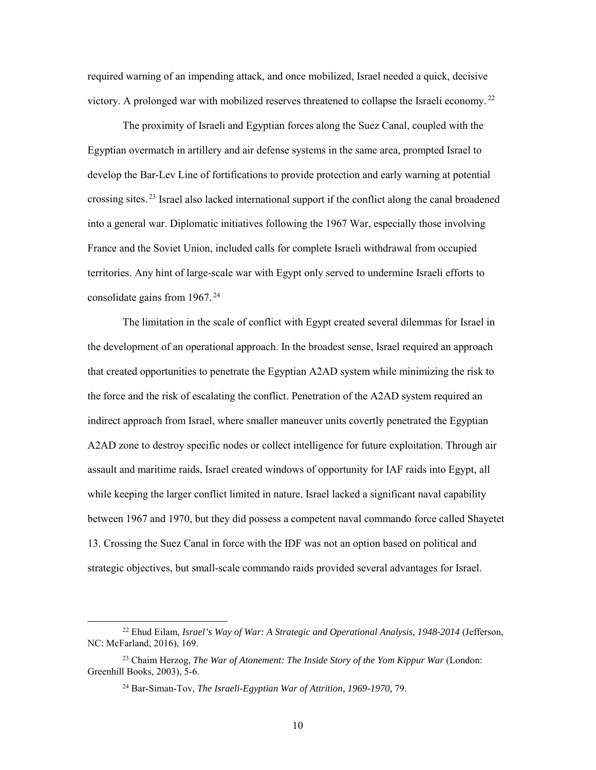required warning of an impending attack, and once mobilized, Israel needed a quick, decisive victory. A prolonged war with mobilized reserves threatened to collapse the Israeli economy.<sup>22</sup>

The proximity of Israeli and Egyptian forces along the Suez Canal, coupled with the Egyptian overmatch in artillery and air defense systems in the same area, prompted Israel to develop the Bar-Lev Line of fortifications to provide protection and early warning at potential crossing sites.<sup>23</sup> Israel also lacked international support if the conflict along the canal broadened into a general war. Diplomatic initiatives following the 1967 War, especially those involving France and the Soviet Union, included calls for complete Israeli withdrawal from occupied territories. Any hint of large-scale war with Egypt only served to undermine Israeli efforts to consolidate gains from 1967.<sup>24</sup>

The limitation in the scale of conflict with Egypt created several dilemmas for Israel in the development of an operational approach. In the broadest sense, Israel required an approach that created opportunities to penetrate the Egyptian A2AD system while minimizing the risk to the force and the risk of escalating the conflict. Penetration of the A2AD system required an indirect approach from Israel, where smaller maneuver units covertly penetrated the Egyptian A2AD zone to destroy specific nodes or collect intelligence for future exploitation. Through air assault and maritime raids, Israel created windows of opportunity for IAF raids into Egypt, all while keeping the larger conflict limited in nature. Israel lacked a significant naval capability between 1967 and 1970, but they did possess a competent naval commando force called Shayetet 13. Crossing the Suez Canal in force with the IDF was not an option based on political and strategic objectives, but small-scale commando raids provided several advantages for Israel.

 <sup>22</sup> Ehud Eilam, *Israel's Way of War: A Strategic and Operational Analysis, 1948-2014* (Jefferson, NC: McFarland, 2016), 169.

<sup>23</sup> Chaim Herzog, *The War of Atonement: The Inside Story of the Yom Kippur War* (London: Greenhill Books, 2003), 5-6.

<sup>24</sup> Bar-Siman-Tov, *The Israeli-Egyptian War of Attrition, 1969-1970,* 79.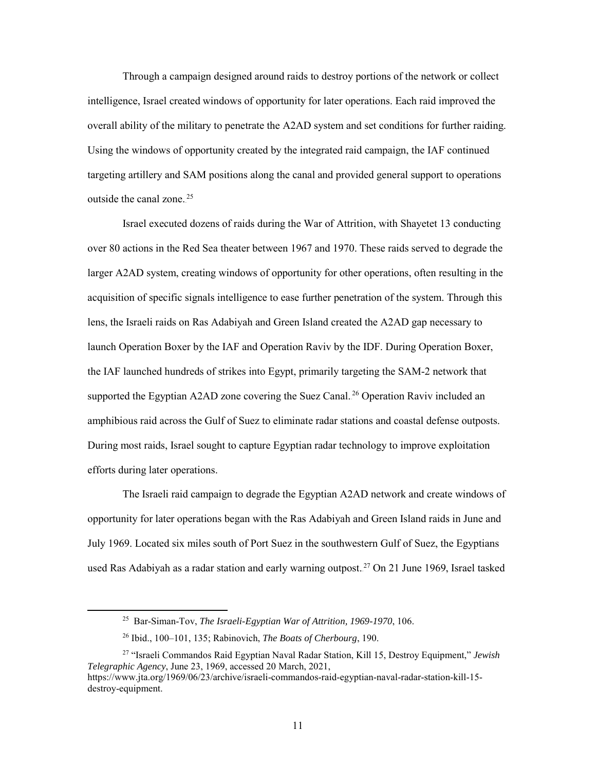Through a campaign designed around raids to destroy portions of the network or collect intelligence, Israel created windows of opportunity for later operations. Each raid improved the overall ability of the military to penetrate the A2AD system and set conditions for further raiding. Using the windows of opportunity created by the integrated raid campaign, the IAF continued targeting artillery and SAM positions along the canal and provided general support to operations outside the canal zone. $25$ 

Israel executed dozens of raids during the War of Attrition, with Shayetet 13 conducting over 80 actions in the Red Sea theater between 1967 and 1970. These raids served to degrade the larger A2AD system, creating windows of opportunity for other operations, often resulting in the acquisition of specific signals intelligence to ease further penetration of the system. Through this lens, the Israeli raids on Ras Adabiyah and Green Island created the A2AD gap necessary to launch Operation Boxer by the IAF and Operation Raviv by the IDF. During Operation Boxer, the IAF launched hundreds of strikes into Egypt, primarily targeting the SAM-2 network that supported the Egyptian A2AD zone covering the Suez Canal.<sup>26</sup> Operation Raviv included an amphibious raid across the Gulf of Suez to eliminate radar stations and coastal defense outposts. During most raids, Israel sought to capture Egyptian radar technology to improve exploitation efforts during later operations.

The Israeli raid campaign to degrade the Egyptian A2AD network and create windows of opportunity for later operations began with the Ras Adabiyah and Green Island raids in June and July 1969. Located six miles south of Port Suez in the southwestern Gulf of Suez, the Egyptians used Ras Adabiyah as a radar station and early warning outpost.<sup>27</sup> On 21 June 1969, Israel tasked

 <sup>25</sup> Bar-Siman-Tov, *The Israeli-Egyptian War of Attrition, 1969-1970*, 106.

<sup>26</sup> Ibid., 100–101, 135; Rabinovich, *The Boats of Cherbourg*, 190.

<sup>27</sup> "Israeli Commandos Raid Egyptian Naval Radar Station, Kill 15, Destroy Equipment," *Jewish Telegraphic Agency*, June 23, 1969, accessed 20 March, 2021, https://www.jta.org/1969/06/23/archive/israeli-commandos-raid-egyptian-naval-radar-station-kill-15 destroy-equipment.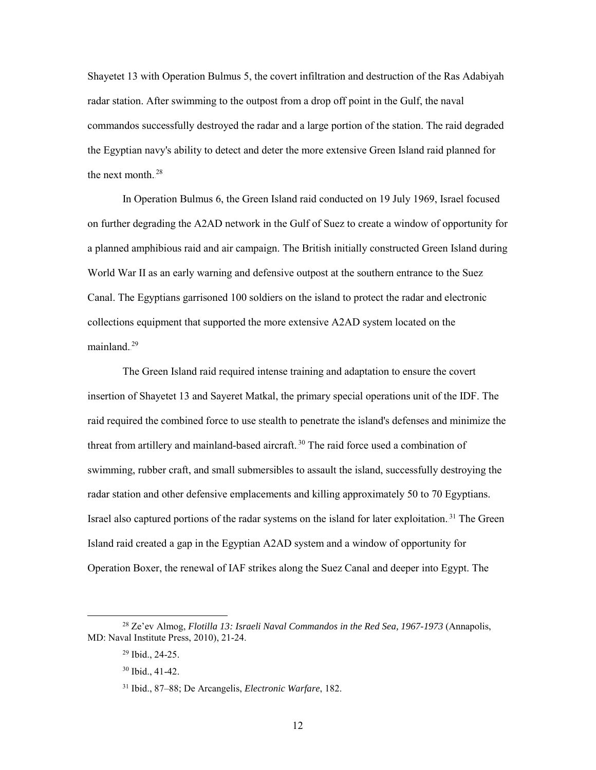Shayetet 13 with Operation Bulmus 5, the covert infiltration and destruction of the Ras Adabiyah radar station. After swimming to the outpost from a drop off point in the Gulf, the naval commandos successfully destroyed the radar and a large portion of the station. The raid degraded the Egyptian navy's ability to detect and deter the more extensive Green Island raid planned for the next month. $28$ 

In Operation Bulmus 6, the Green Island raid conducted on 19 July 1969, Israel focused on further degrading the A2AD network in the Gulf of Suez to create a window of opportunity for a planned amphibious raid and air campaign. The British initially constructed Green Island during World War II as an early warning and defensive outpost at the southern entrance to the Suez Canal. The Egyptians garrisoned 100 soldiers on the island to protect the radar and electronic collections equipment that supported the more extensive A2AD system located on the mainland.<sup>29</sup>

The Green Island raid required intense training and adaptation to ensure the covert insertion of Shayetet 13 and Sayeret Matkal, the primary special operations unit of the IDF. The raid required the combined force to use stealth to penetrate the island's defenses and minimize the threat from artillery and mainland-based aircraft.<sup>30</sup> The raid force used a combination of swimming, rubber craft, and small submersibles to assault the island, successfully destroying the radar station and other defensive emplacements and killing approximately 50 to 70 Egyptians. Israel also captured portions of the radar systems on the island for later exploitation.<sup>31</sup> The Green Island raid created a gap in the Egyptian A2AD system and a window of opportunity for Operation Boxer, the renewal of IAF strikes along the Suez Canal and deeper into Egypt. The

 <sup>28</sup> Ze'ev Almog, *Flotilla 13: Israeli Naval Commandos in the Red Sea, 1967-1973* (Annapolis, MD: Naval Institute Press, 2010), 21-24.

<sup>29</sup> Ibid., 24-25.

<sup>30</sup> Ibid., 41-42.

<sup>31</sup> Ibid., 87–88; De Arcangelis, *Electronic Warfare*, 182.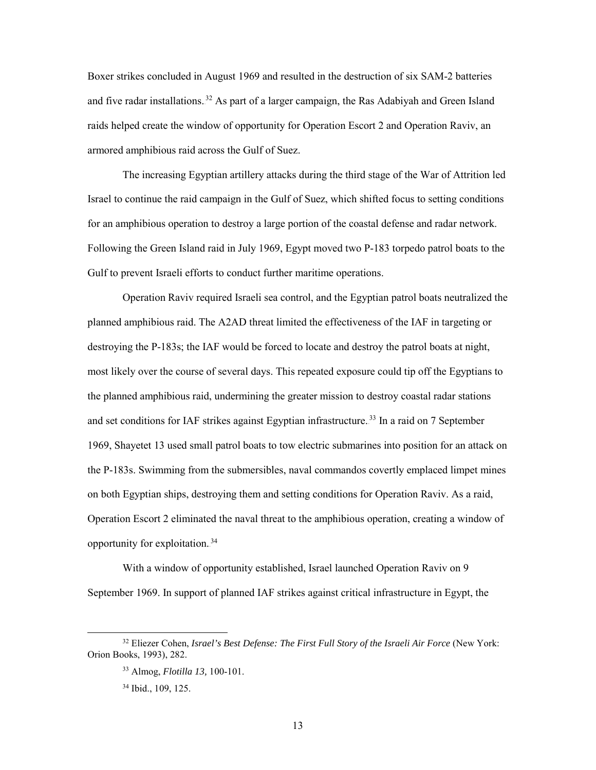Boxer strikes concluded in August 1969 and resulted in the destruction of six SAM-2 batteries and five radar installations.<sup>32</sup> As part of a larger campaign, the Ras Adabiyah and Green Island raids helped create the window of opportunity for Operation Escort 2 and Operation Raviv, an armored amphibious raid across the Gulf of Suez.

The increasing Egyptian artillery attacks during the third stage of the War of Attrition led Israel to continue the raid campaign in the Gulf of Suez, which shifted focus to setting conditions for an amphibious operation to destroy a large portion of the coastal defense and radar network. Following the Green Island raid in July 1969, Egypt moved two P-183 torpedo patrol boats to the Gulf to prevent Israeli efforts to conduct further maritime operations.

Operation Raviv required Israeli sea control, and the Egyptian patrol boats neutralized the planned amphibious raid. The A2AD threat limited the effectiveness of the IAF in targeting or destroying the P-183s; the IAF would be forced to locate and destroy the patrol boats at night, most likely over the course of several days. This repeated exposure could tip off the Egyptians to the planned amphibious raid, undermining the greater mission to destroy coastal radar stations and set conditions for IAF strikes against Egyptian infrastructure.<sup>33</sup> In a raid on 7 September 1969, Shayetet 13 used small patrol boats to tow electric submarines into position for an attack on the P-183s. Swimming from the submersibles, naval commandos covertly emplaced limpet mines on both Egyptian ships, destroying them and setting conditions for Operation Raviv. As a raid, Operation Escort 2 eliminated the naval threat to the amphibious operation, creating a window of opportunity for exploitation.<sup>34</sup>

With a window of opportunity established, Israel launched Operation Raviv on 9 September 1969. In support of planned IAF strikes against critical infrastructure in Egypt, the

 <sup>32</sup> Eliezer Cohen, *Israel's Best Defense: The First Full Story of the Israeli Air Force* (New York: Orion Books, 1993), 282.

<sup>33</sup> Almog, *Flotilla 13,* 100-101.

<sup>34</sup> Ibid., 109, 125.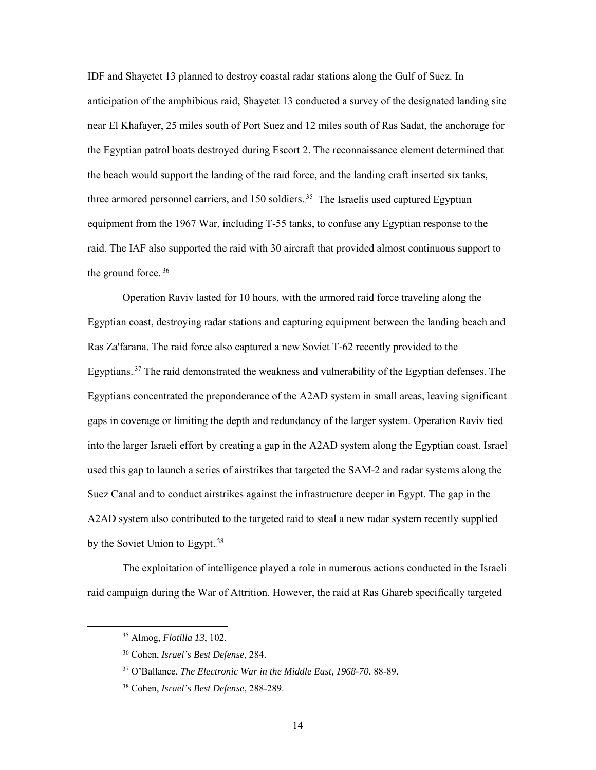IDF and Shayetet 13 planned to destroy coastal radar stations along the Gulf of Suez. In anticipation of the amphibious raid, Shayetet 13 conducted a survey of the designated landing site near El Khafayer, 25 miles south of Port Suez and 12 miles south of Ras Sadat, the anchorage for the Egyptian patrol boats destroyed during Escort 2. The reconnaissance element determined that the beach would support the landing of the raid force, and the landing craft inserted six tanks, three armored personnel carriers, and  $150$  soldiers.<sup>35</sup> The Israelis used captured Egyptian equipment from the 1967 War, including T-55 tanks, to confuse any Egyptian response to the raid. The IAF also supported the raid with 30 aircraft that provided almost continuous support to the ground force. $36$ 

Operation Raviv lasted for 10 hours, with the armored raid force traveling along the Egyptian coast, destroying radar stations and capturing equipment between the landing beach and Ras Za'farana. The raid force also captured a new Soviet T-62 recently provided to the Egyptians.<sup>37</sup> The raid demonstrated the weakness and vulnerability of the Egyptian defenses. The Egyptians concentrated the preponderance of the A2AD system in small areas, leaving significant gaps in coverage or limiting the depth and redundancy of the larger system. Operation Raviv tied into the larger Israeli effort by creating a gap in the A2AD system along the Egyptian coast. Israel used this gap to launch a series of airstrikes that targeted the SAM-2 and radar systems along the Suez Canal and to conduct airstrikes against the infrastructure deeper in Egypt. The gap in the A2AD system also contributed to the targeted raid to steal a new radar system recently supplied by the Soviet Union to Egypt.<sup>38</sup>

The exploitation of intelligence played a role in numerous actions conducted in the Israeli raid campaign during the War of Attrition. However, the raid at Ras Ghareb specifically targeted

 <sup>35</sup> Almog, *Flotilla 13*, 102.

<sup>36</sup> Cohen, *Israel's Best Defense*, 284.

<sup>37</sup> O'Ballance, *The Electronic War in the Middle East, 1968-70*, 88-89.

<sup>38</sup> Cohen, *Israel's Best Defense*, 288-289.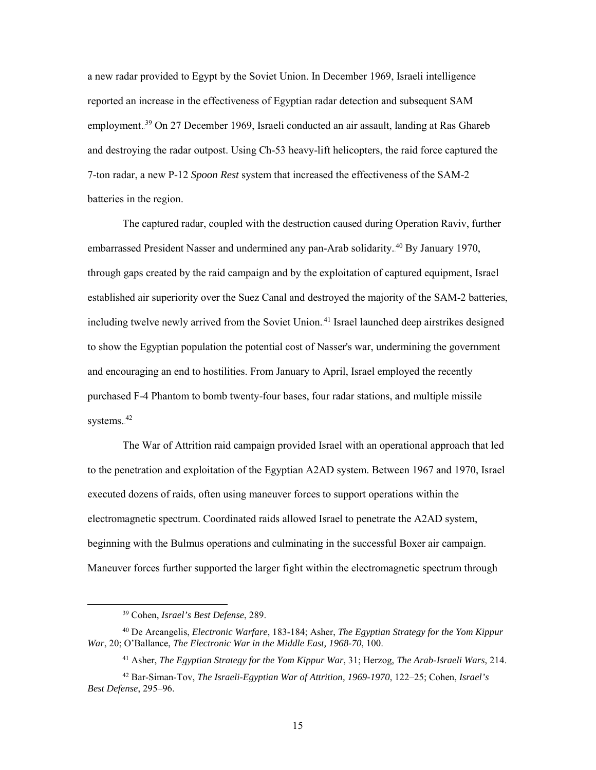a new radar provided to Egypt by the Soviet Union. In December 1969, Israeli intelligence reported an increase in the effectiveness of Egyptian radar detection and subsequent SAM employment.<sup>39</sup> On 27 December 1969, Israeli conducted an air assault, landing at Ras Ghareb and destroying the radar outpost. Using Ch-53 heavy-lift helicopters, the raid force captured the 7-ton radar, a new P-12 *Spoon Rest* system that increased the effectiveness of the SAM-2 batteries in the region.

The captured radar, coupled with the destruction caused during Operation Raviv, further embarrassed President Nasser and undermined any pan-Arab solidarity.<sup>40</sup> By January 1970, through gaps created by the raid campaign and by the exploitation of captured equipment, Israel established air superiority over the Suez Canal and destroyed the majority of the SAM-2 batteries, including twelve newly arrived from the Soviet Union.<sup>41</sup> Israel launched deep airstrikes designed to show the Egyptian population the potential cost of Nasser's war, undermining the government and encouraging an end to hostilities. From January to April, Israel employed the recently purchased F-4 Phantom to bomb twenty-four bases, four radar stations, and multiple missile systems.<sup>42</sup>

The War of Attrition raid campaign provided Israel with an operational approach that led to the penetration and exploitation of the Egyptian A2AD system. Between 1967 and 1970, Israel executed dozens of raids, often using maneuver forces to support operations within the electromagnetic spectrum. Coordinated raids allowed Israel to penetrate the A2AD system, beginning with the Bulmus operations and culminating in the successful Boxer air campaign. Maneuver forces further supported the larger fight within the electromagnetic spectrum through

 <sup>39</sup> Cohen, *Israel's Best Defense*, 289.

<sup>40</sup> De Arcangelis, *Electronic Warfare*, 183-184; Asher, *The Egyptian Strategy for the Yom Kippur War*, 20; O'Ballance, *The Electronic War in the Middle East, 1968-70*, 100.

<sup>41</sup> Asher, *The Egyptian Strategy for the Yom Kippur War*, 31; Herzog, *The Arab-Israeli Wars*, 214.

<sup>42</sup> Bar-Siman-Tov, *The Israeli-Egyptian War of Attrition, 1969-1970*, 122–25; Cohen, *Israel's Best Defense*, 295–96.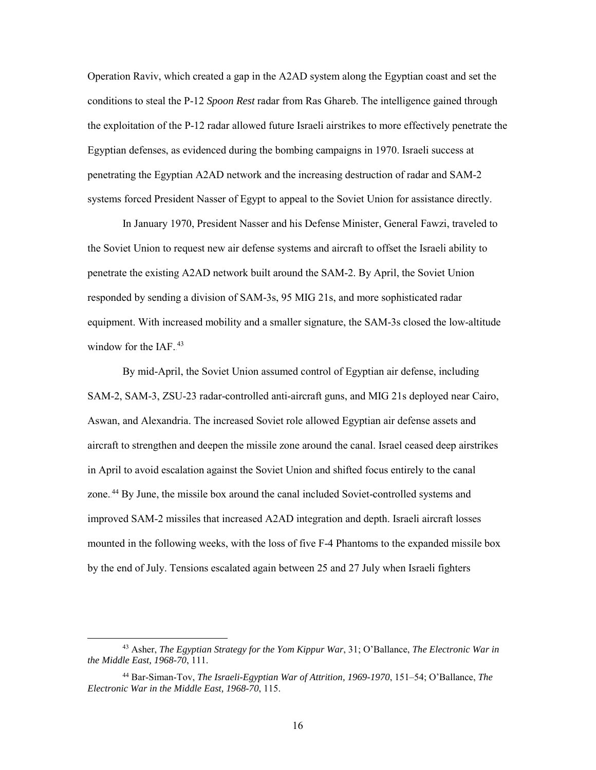Operation Raviv, which created a gap in the A2AD system along the Egyptian coast and set the conditions to steal the P-12 *Spoon Rest* radar from Ras Ghareb. The intelligence gained through the exploitation of the P-12 radar allowed future Israeli airstrikes to more effectively penetrate the Egyptian defenses, as evidenced during the bombing campaigns in 1970. Israeli success at penetrating the Egyptian A2AD network and the increasing destruction of radar and SAM-2 systems forced President Nasser of Egypt to appeal to the Soviet Union for assistance directly.

In January 1970, President Nasser and his Defense Minister, General Fawzi, traveled to the Soviet Union to request new air defense systems and aircraft to offset the Israeli ability to penetrate the existing A2AD network built around the SAM-2. By April, the Soviet Union responded by sending a division of SAM-3s, 95 MIG 21s, and more sophisticated radar equipment. With increased mobility and a smaller signature, the SAM-3s closed the low-altitude window for the IAF. $43$ 

By mid-April, the Soviet Union assumed control of Egyptian air defense, including SAM-2, SAM-3, ZSU-23 radar-controlled anti-aircraft guns, and MIG 21s deployed near Cairo, Aswan, and Alexandria. The increased Soviet role allowed Egyptian air defense assets and aircraft to strengthen and deepen the missile zone around the canal. Israel ceased deep airstrikes in April to avoid escalation against the Soviet Union and shifted focus entirely to the canal zone.<sup>44</sup> By June, the missile box around the canal included Soviet-controlled systems and improved SAM-2 missiles that increased A2AD integration and depth. Israeli aircraft losses mounted in the following weeks, with the loss of five F-4 Phantoms to the expanded missile box by the end of July. Tensions escalated again between 25 and 27 July when Israeli fighters

 <sup>43</sup> Asher, *The Egyptian Strategy for the Yom Kippur War*, 31; O'Ballance, *The Electronic War in the Middle East, 1968-70*, 111.

<sup>44</sup> Bar-Siman-Tov, *The Israeli-Egyptian War of Attrition, 1969-1970*, 151–54; O'Ballance, *The Electronic War in the Middle East, 1968-70*, 115.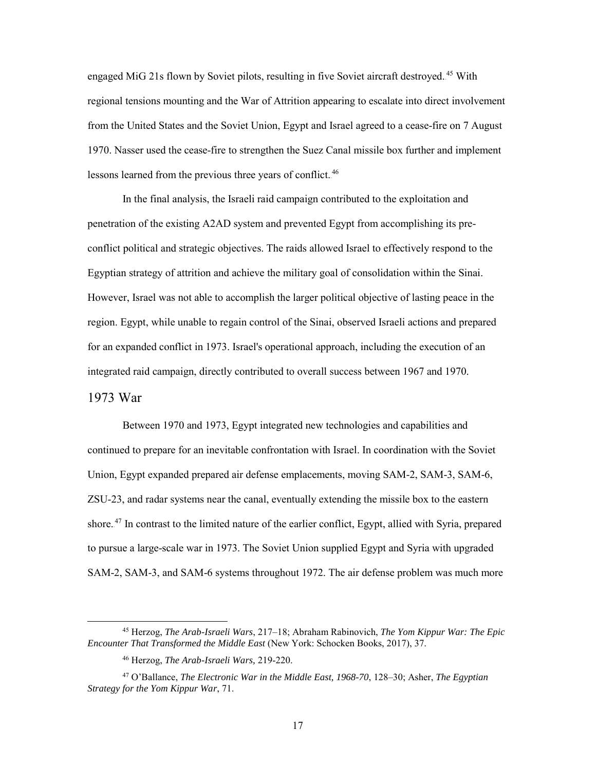engaged MiG 21s flown by Soviet pilots, resulting in five Soviet aircraft destroyed.<sup>45</sup> With regional tensions mounting and the War of Attrition appearing to escalate into direct involvement from the United States and the Soviet Union, Egypt and Israel agreed to a cease-fire on 7 August 1970. Nasser used the cease-fire to strengthen the Suez Canal missile box further and implement lessons learned from the previous three years of conflict.<sup>46</sup>

In the final analysis, the Israeli raid campaign contributed to the exploitation and penetration of the existing A2AD system and prevented Egypt from accomplishing its preconflict political and strategic objectives. The raids allowed Israel to effectively respond to the Egyptian strategy of attrition and achieve the military goal of consolidation within the Sinai. However, Israel was not able to accomplish the larger political objective of lasting peace in the region. Egypt, while unable to regain control of the Sinai, observed Israeli actions and prepared for an expanded conflict in 1973. Israel's operational approach, including the execution of an integrated raid campaign, directly contributed to overall success between 1967 and 1970.

# <span id="page-23-0"></span>1973 War

Between 1970 and 1973, Egypt integrated new technologies and capabilities and continued to prepare for an inevitable confrontation with Israel. In coordination with the Soviet Union, Egypt expanded prepared air defense emplacements, moving SAM-2, SAM-3, SAM-6, ZSU-23, and radar systems near the canal, eventually extending the missile box to the eastern shore.<sup>47</sup> In contrast to the limited nature of the earlier conflict, Egypt, allied with Syria, prepared to pursue a large-scale war in 1973. The Soviet Union supplied Egypt and Syria with upgraded SAM-2, SAM-3, and SAM-6 systems throughout 1972. The air defense problem was much more

 <sup>45</sup> Herzog, *The Arab-Israeli Wars*, 217–18; Abraham Rabinovich, *The Yom Kippur War: The Epic Encounter That Transformed the Middle East* (New York: Schocken Books, 2017), 37.

<sup>46</sup> Herzog, *The Arab-Israeli Wars,* 219-220.

<sup>47</sup> O'Ballance, *The Electronic War in the Middle East, 1968-70*, 128–30; Asher, *The Egyptian Strategy for the Yom Kippur War*, 71.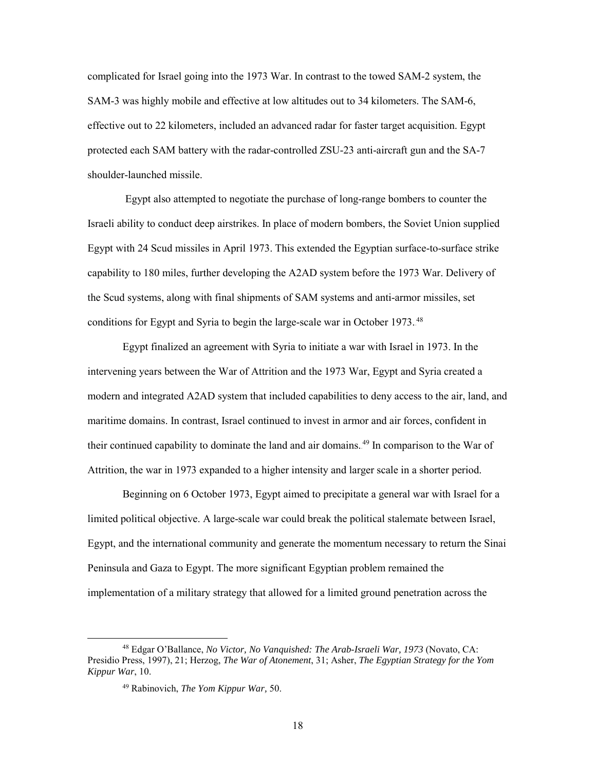complicated for Israel going into the 1973 War. In contrast to the towed SAM-2 system, the SAM-3 was highly mobile and effective at low altitudes out to 34 kilometers. The SAM-6, effective out to 22 kilometers, included an advanced radar for faster target acquisition. Egypt protected each SAM battery with the radar-controlled ZSU-23 anti-aircraft gun and the SA-7 shoulder-launched missile.

 Egypt also attempted to negotiate the purchase of long-range bombers to counter the Israeli ability to conduct deep airstrikes. In place of modern bombers, the Soviet Union supplied Egypt with 24 Scud missiles in April 1973. This extended the Egyptian surface-to-surface strike capability to 180 miles, further developing the A2AD system before the 1973 War. Delivery of the Scud systems, along with final shipments of SAM systems and anti-armor missiles, set conditions for Egypt and Syria to begin the large-scale war in October 1973.<sup>48</sup>

Egypt finalized an agreement with Syria to initiate a war with Israel in 1973. In the intervening years between the War of Attrition and the 1973 War, Egypt and Syria created a modern and integrated A2AD system that included capabilities to deny access to the air, land, and maritime domains. In contrast, Israel continued to invest in armor and air forces, confident in their continued capability to dominate the land and air domains.<sup>49</sup> In comparison to the War of Attrition, the war in 1973 expanded to a higher intensity and larger scale in a shorter period.

Beginning on 6 October 1973, Egypt aimed to precipitate a general war with Israel for a limited political objective. A large-scale war could break the political stalemate between Israel, Egypt, and the international community and generate the momentum necessary to return the Sinai Peninsula and Gaza to Egypt. The more significant Egyptian problem remained the implementation of a military strategy that allowed for a limited ground penetration across the

 <sup>48</sup> Edgar O'Ballance, *No Victor, No Vanquished: The Arab-Israeli War, 1973* (Novato, CA: Presidio Press, 1997), 21; Herzog, *The War of Atonement*, 31; Asher, *The Egyptian Strategy for the Yom Kippur War*, 10.

<sup>49</sup> Rabinovich, *The Yom Kippur War,* 50.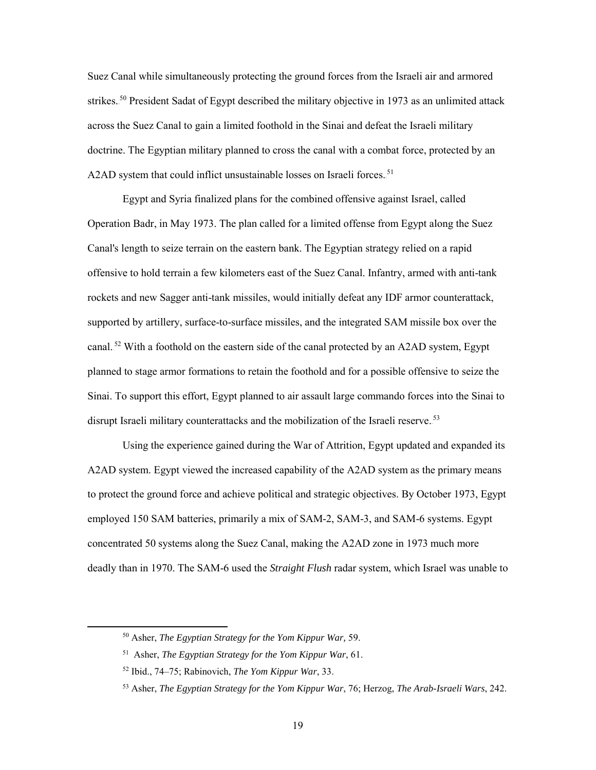Suez Canal while simultaneously protecting the ground forces from the Israeli air and armored strikes.<sup>50</sup> President Sadat of Egypt described the military objective in 1973 as an unlimited attack across the Suez Canal to gain a limited foothold in the Sinai and defeat the Israeli military doctrine. The Egyptian military planned to cross the canal with a combat force, protected by an A2AD system that could inflict unsustainable losses on Israeli forces.<sup>51</sup>

Egypt and Syria finalized plans for the combined offensive against Israel, called Operation Badr, in May 1973. The plan called for a limited offense from Egypt along the Suez Canal's length to seize terrain on the eastern bank. The Egyptian strategy relied on a rapid offensive to hold terrain a few kilometers east of the Suez Canal. Infantry, armed with anti-tank rockets and new Sagger anti-tank missiles, would initially defeat any IDF armor counterattack, supported by artillery, surface-to-surface missiles, and the integrated SAM missile box over the canal.<sup>52</sup> With a foothold on the eastern side of the canal protected by an A2AD system, Egypt planned to stage armor formations to retain the foothold and for a possible offensive to seize the Sinai. To support this effort, Egypt planned to air assault large commando forces into the Sinai to disrupt Israeli military counterattacks and the mobilization of the Israeli reserve.<sup>53</sup>

Using the experience gained during the War of Attrition, Egypt updated and expanded its A2AD system. Egypt viewed the increased capability of the A2AD system as the primary means to protect the ground force and achieve political and strategic objectives. By October 1973, Egypt employed 150 SAM batteries, primarily a mix of SAM-2, SAM-3, and SAM-6 systems. Egypt concentrated 50 systems along the Suez Canal, making the A2AD zone in 1973 much more deadly than in 1970. The SAM-6 used the *Straight Flush* radar system, which Israel was unable to

 <sup>50</sup> Asher, *The Egyptian Strategy for the Yom Kippur War,* 59.

<sup>51</sup> Asher, *The Egyptian Strategy for the Yom Kippur War*, 61.

<sup>52</sup> Ibid., 74–75; Rabinovich, *The Yom Kippur War*, 33.

<sup>53</sup> Asher, *The Egyptian Strategy for the Yom Kippur War*, 76; Herzog, *The Arab-Israeli Wars*, 242.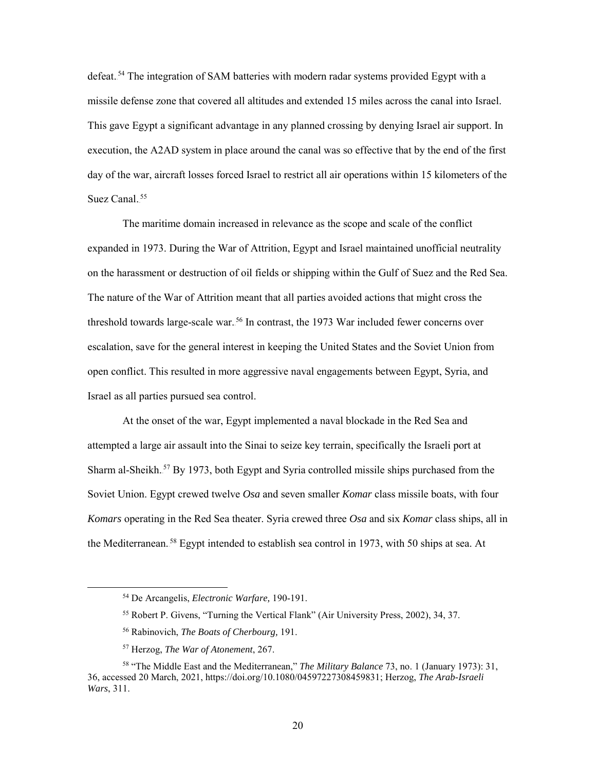defeat.<sup>54</sup> The integration of SAM batteries with modern radar systems provided Egypt with a missile defense zone that covered all altitudes and extended 15 miles across the canal into Israel. This gave Egypt a significant advantage in any planned crossing by denying Israel air support. In execution, the A2AD system in place around the canal was so effective that by the end of the first day of the war, aircraft losses forced Israel to restrict all air operations within 15 kilometers of the Suez Canal.<sup>55</sup>

The maritime domain increased in relevance as the scope and scale of the conflict expanded in 1973. During the War of Attrition, Egypt and Israel maintained unofficial neutrality on the harassment or destruction of oil fields or shipping within the Gulf of Suez and the Red Sea. The nature of the War of Attrition meant that all parties avoided actions that might cross the threshold towards large-scale war.<sup>56</sup> In contrast, the 1973 War included fewer concerns over escalation, save for the general interest in keeping the United States and the Soviet Union from open conflict. This resulted in more aggressive naval engagements between Egypt, Syria, and Israel as all parties pursued sea control.

At the onset of the war, Egypt implemented a naval blockade in the Red Sea and attempted a large air assault into the Sinai to seize key terrain, specifically the Israeli port at Sharm al-Sheikh.<sup>57</sup> By 1973, both Egypt and Syria controlled missile ships purchased from the Soviet Union. Egypt crewed twelve *Osa* and seven smaller *Komar* class missile boats, with four *Komars* operating in the Red Sea theater. Syria crewed three *Osa* and six *Komar* class ships, all in the Mediterranean.<sup>58</sup> Egypt intended to establish sea control in 1973, with 50 ships at sea. At

 <sup>54</sup> De Arcangelis, *Electronic Warfare,* 190-191.

<sup>55</sup> Robert P. Givens, "Turning the Vertical Flank" (Air University Press, 2002), 34, 37.

<sup>56</sup> Rabinovich, *The Boats of Cherbourg,* 191.

<sup>57</sup> Herzog, *The War of Atonement*, 267.

<sup>58</sup> "The Middle East and the Mediterranean," *The Military Balance* 73, no. 1 (January 1973): 31, 36, accessed 20 March, 2021, https://doi.org/10.1080/04597227308459831; Herzog, *The Arab-Israeli Wars*, 311.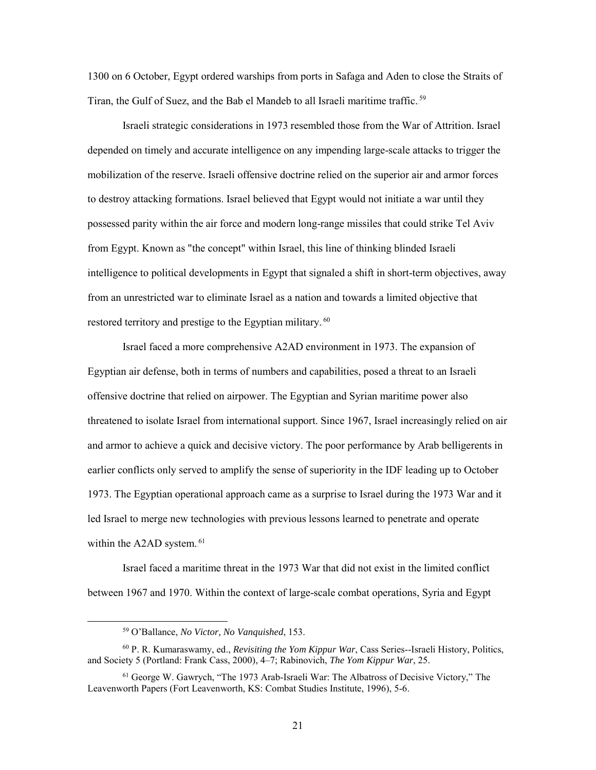1300 on 6 October, Egypt ordered warships from ports in Safaga and Aden to close the Straits of Tiran, the Gulf of Suez, and the Bab el Mandeb to all Israeli maritime traffic.<sup>59</sup>

Israeli strategic considerations in 1973 resembled those from the War of Attrition. Israel depended on timely and accurate intelligence on any impending large-scale attacks to trigger the mobilization of the reserve. Israeli offensive doctrine relied on the superior air and armor forces to destroy attacking formations. Israel believed that Egypt would not initiate a war until they possessed parity within the air force and modern long-range missiles that could strike Tel Aviv from Egypt. Known as "the concept" within Israel, this line of thinking blinded Israeli intelligence to political developments in Egypt that signaled a shift in short-term objectives, away from an unrestricted war to eliminate Israel as a nation and towards a limited objective that restored territory and prestige to the Egyptian military.<sup>60</sup>

Israel faced a more comprehensive A2AD environment in 1973. The expansion of Egyptian air defense, both in terms of numbers and capabilities, posed a threat to an Israeli offensive doctrine that relied on airpower. The Egyptian and Syrian maritime power also threatened to isolate Israel from international support. Since 1967, Israel increasingly relied on air and armor to achieve a quick and decisive victory. The poor performance by Arab belligerents in earlier conflicts only served to amplify the sense of superiority in the IDF leading up to October 1973. The Egyptian operational approach came as a surprise to Israel during the 1973 War and it led Israel to merge new technologies with previous lessons learned to penetrate and operate within the A2AD system.<sup>61</sup>

Israel faced a maritime threat in the 1973 War that did not exist in the limited conflict between 1967 and 1970. Within the context of large-scale combat operations, Syria and Egypt

 <sup>59</sup> O'Ballance, *No Victor, No Vanquished*, 153.

<sup>60</sup> P. R. Kumaraswamy, ed., *Revisiting the Yom Kippur War*, Cass Series--Israeli History, Politics, and Society 5 (Portland: Frank Cass, 2000), 4–7; Rabinovich, *The Yom Kippur War*, 25.

<sup>61</sup> George W. Gawrych, "The 1973 Arab-Israeli War: The Albatross of Decisive Victory," The Leavenworth Papers (Fort Leavenworth, KS: Combat Studies Institute, 1996), 5-6.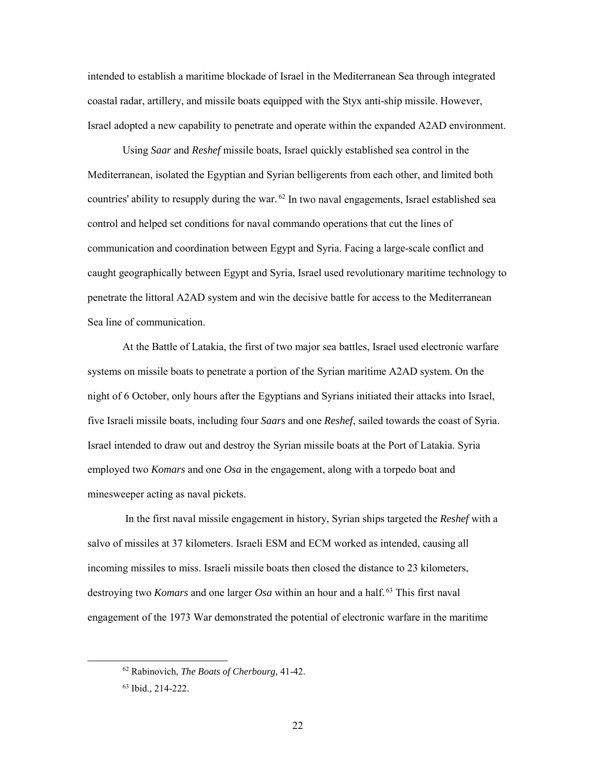intended to establish a maritime blockade of Israel in the Mediterranean Sea through integrated coastal radar, artillery, and missile boats equipped with the Styx anti-ship missile. However, Israel adopted a new capability to penetrate and operate within the expanded A2AD environment.

Using *Saar* and *Reshef* missile boats, Israel quickly established sea control in the Mediterranean, isolated the Egyptian and Syrian belligerents from each other, and limited both countries' ability to resupply during the war.<sup>62</sup> In two naval engagements, Israel established sea control and helped set conditions for naval commando operations that cut the lines of communication and coordination between Egypt and Syria. Facing a large-scale conflict and caught geographically between Egypt and Syria, Israel used revolutionary maritime technology to penetrate the littoral A2AD system and win the decisive battle for access to the Mediterranean Sea line of communication.

At the Battle of Latakia, the first of two major sea battles, Israel used electronic warfare systems on missile boats to penetrate a portion of the Syrian maritime A2AD system. On the night of 6 October, only hours after the Egyptians and Syrians initiated their attacks into Israel, five Israeli missile boats, including four *Saars* and one *Reshef*, sailed towards the coast of Syria. Israel intended to draw out and destroy the Syrian missile boats at the Port of Latakia. Syria employed two *Komars* and one *Osa* in the engagement, along with a torpedo boat and minesweeper acting as naval pickets.

In the first naval missile engagement in history, Syrian ships targeted the *Reshef* with a salvo of missiles at 37 kilometers. Israeli ESM and ECM worked as intended, causing all incoming missiles to miss. Israeli missile boats then closed the distance to 23 kilometers, destroying two *Komars* and one larger *Osa* within an hour and a half.<sup>63</sup> This first naval engagement of the 1973 War demonstrated the potential of electronic warfare in the maritime

 <sup>62</sup> Rabinovich, *The Boats of Cherbourg,* 41-42.

<sup>63</sup> Ibid.*,* 214-222.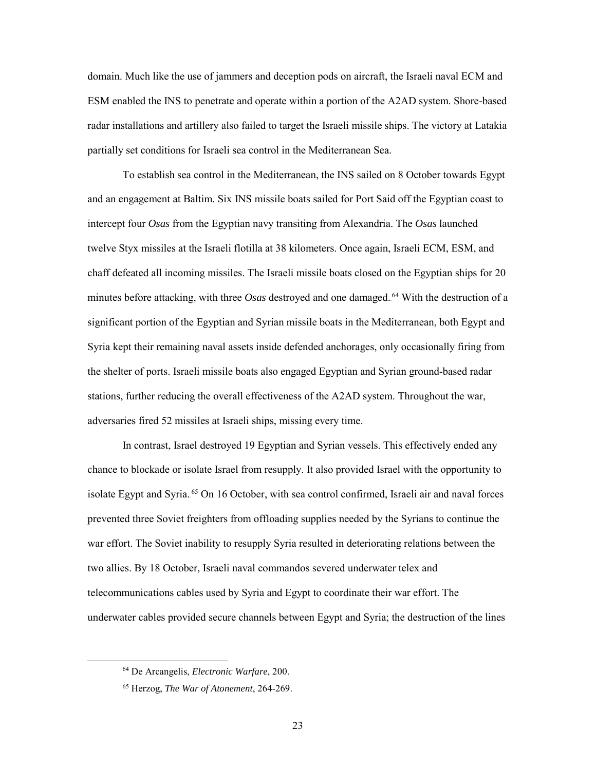domain. Much like the use of jammers and deception pods on aircraft, the Israeli naval ECM and ESM enabled the INS to penetrate and operate within a portion of the A2AD system. Shore-based radar installations and artillery also failed to target the Israeli missile ships. The victory at Latakia partially set conditions for Israeli sea control in the Mediterranean Sea.

To establish sea control in the Mediterranean, the INS sailed on 8 October towards Egypt and an engagement at Baltim. Six INS missile boats sailed for Port Said off the Egyptian coast to intercept four *Osas* from the Egyptian navy transiting from Alexandria. The *Osas* launched twelve Styx missiles at the Israeli flotilla at 38 kilometers. Once again, Israeli ECM, ESM, and chaff defeated all incoming missiles. The Israeli missile boats closed on the Egyptian ships for 20 minutes before attacking, with three  $Osas$  destroyed and one damaged.<sup>64</sup> With the destruction of a significant portion of the Egyptian and Syrian missile boats in the Mediterranean, both Egypt and Syria kept their remaining naval assets inside defended anchorages, only occasionally firing from the shelter of ports. Israeli missile boats also engaged Egyptian and Syrian ground-based radar stations, further reducing the overall effectiveness of the A2AD system. Throughout the war, adversaries fired 52 missiles at Israeli ships, missing every time.

In contrast, Israel destroyed 19 Egyptian and Syrian vessels. This effectively ended any chance to blockade or isolate Israel from resupply. It also provided Israel with the opportunity to isolate Egypt and Syria.<sup>65</sup> On 16 October, with sea control confirmed, Israeli air and naval forces prevented three Soviet freighters from offloading supplies needed by the Syrians to continue the war effort. The Soviet inability to resupply Syria resulted in deteriorating relations between the two allies. By 18 October, Israeli naval commandos severed underwater telex and telecommunications cables used by Syria and Egypt to coordinate their war effort. The underwater cables provided secure channels between Egypt and Syria; the destruction of the lines

 <sup>64</sup> De Arcangelis, *Electronic Warfare*, 200.

<sup>65</sup> Herzog, *The War of Atonement*, 264-269.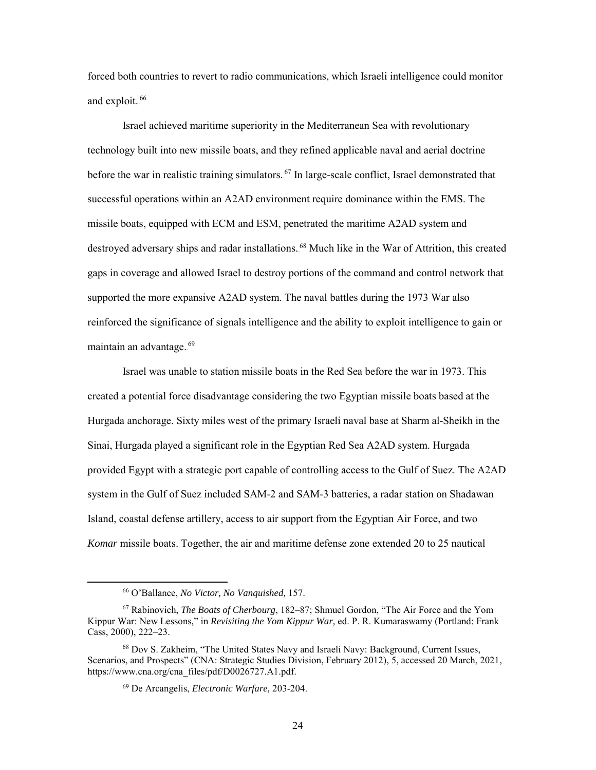forced both countries to revert to radio communications, which Israeli intelligence could monitor and exploit.<sup>66</sup>

Israel achieved maritime superiority in the Mediterranean Sea with revolutionary technology built into new missile boats, and they refined applicable naval and aerial doctrine before the war in realistic training simulators.<sup>67</sup> In large-scale conflict, Israel demonstrated that successful operations within an A2AD environment require dominance within the EMS. The missile boats, equipped with ECM and ESM, penetrated the maritime A2AD system and destroyed adversary ships and radar installations.<sup>68</sup> Much like in the War of Attrition, this created gaps in coverage and allowed Israel to destroy portions of the command and control network that supported the more expansive A2AD system. The naval battles during the 1973 War also reinforced the significance of signals intelligence and the ability to exploit intelligence to gain or maintain an advantage..<sup>69</sup>

Israel was unable to station missile boats in the Red Sea before the war in 1973. This created a potential force disadvantage considering the two Egyptian missile boats based at the Hurgada anchorage. Sixty miles west of the primary Israeli naval base at Sharm al-Sheikh in the Sinai, Hurgada played a significant role in the Egyptian Red Sea A2AD system. Hurgada provided Egypt with a strategic port capable of controlling access to the Gulf of Suez. The A2AD system in the Gulf of Suez included SAM-2 and SAM-3 batteries, a radar station on Shadawan Island, coastal defense artillery, access to air support from the Egyptian Air Force, and two *Komar* missile boats. Together, the air and maritime defense zone extended 20 to 25 nautical

 <sup>66</sup> O'Ballance, *No Victor, No Vanquished,* 157.

<sup>67</sup> Rabinovich, *The Boats of Cherbourg*, 182–87; Shmuel Gordon, "The Air Force and the Yom Kippur War: New Lessons," in *Revisiting the Yom Kippur War*, ed. P. R. Kumaraswamy (Portland: Frank Cass, 2000), 222–23.

<sup>68</sup> Dov S. Zakheim, "The United States Navy and Israeli Navy: Background, Current Issues, Scenarios, and Prospects" (CNA: Strategic Studies Division, February 2012), 5, accessed 20 March, 2021, https://www.cna.org/cna\_files/pdf/D0026727.A1.pdf.

<sup>69</sup> De Arcangelis, *Electronic Warfare,* 203-204.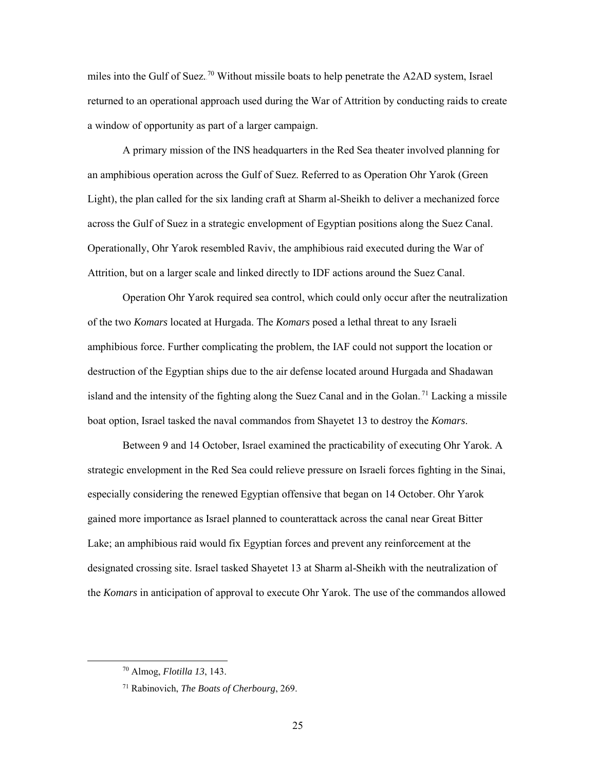miles into the Gulf of Suez.<sup>70</sup> Without missile boats to help penetrate the A2AD system, Israel returned to an operational approach used during the War of Attrition by conducting raids to create a window of opportunity as part of a larger campaign.

A primary mission of the INS headquarters in the Red Sea theater involved planning for an amphibious operation across the Gulf of Suez. Referred to as Operation Ohr Yarok (Green Light), the plan called for the six landing craft at Sharm al-Sheikh to deliver a mechanized force across the Gulf of Suez in a strategic envelopment of Egyptian positions along the Suez Canal. Operationally, Ohr Yarok resembled Raviv, the amphibious raid executed during the War of Attrition, but on a larger scale and linked directly to IDF actions around the Suez Canal.

Operation Ohr Yarok required sea control, which could only occur after the neutralization of the two *Komars* located at Hurgada. The *Komars* posed a lethal threat to any Israeli amphibious force. Further complicating the problem, the IAF could not support the location or destruction of the Egyptian ships due to the air defense located around Hurgada and Shadawan island and the intensity of the fighting along the Suez Canal and in the Golan.<sup>71</sup> Lacking a missile boat option, Israel tasked the naval commandos from Shayetet 13 to destroy the *Komars*.

Between 9 and 14 October, Israel examined the practicability of executing Ohr Yarok. A strategic envelopment in the Red Sea could relieve pressure on Israeli forces fighting in the Sinai, especially considering the renewed Egyptian offensive that began on 14 October. Ohr Yarok gained more importance as Israel planned to counterattack across the canal near Great Bitter Lake; an amphibious raid would fix Egyptian forces and prevent any reinforcement at the designated crossing site. Israel tasked Shayetet 13 at Sharm al-Sheikh with the neutralization of the *Komars* in anticipation of approval to execute Ohr Yarok. The use of the commandos allowed

 <sup>70</sup> Almog, *Flotilla 13*, 143.

<sup>71</sup> Rabinovich, *The Boats of Cherbourg*, 269.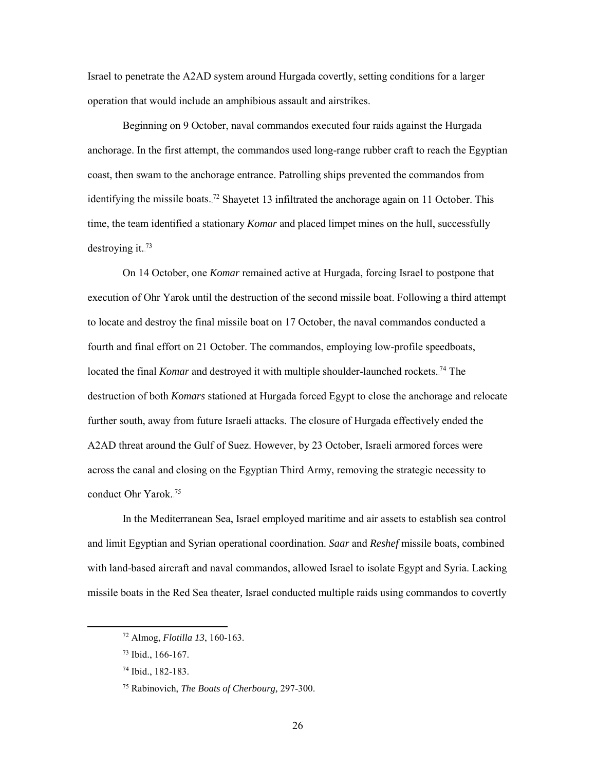Israel to penetrate the A2AD system around Hurgada covertly, setting conditions for a larger operation that would include an amphibious assault and airstrikes.

Beginning on 9 October, naval commandos executed four raids against the Hurgada anchorage. In the first attempt, the commandos used long-range rubber craft to reach the Egyptian coast, then swam to the anchorage entrance. Patrolling ships prevented the commandos from identifying the missile boats.<sup>72</sup> Shayetet 13 infiltrated the anchorage again on 11 October. This time, the team identified a stationary *Komar* and placed limpet mines on the hull, successfully destroying it.<sup>73</sup>

On 14 October, one *Komar* remained active at Hurgada, forcing Israel to postpone that execution of Ohr Yarok until the destruction of the second missile boat. Following a third attempt to locate and destroy the final missile boat on 17 October, the naval commandos conducted a fourth and final effort on 21 October. The commandos, employing low-profile speedboats, located the final *Komar* and destroyed it with multiple shoulder-launched rockets.<sup>74</sup> The destruction of both *Komars* stationed at Hurgada forced Egypt to close the anchorage and relocate further south, away from future Israeli attacks. The closure of Hurgada effectively ended the A2AD threat around the Gulf of Suez. However, by 23 October, Israeli armored forces were across the canal and closing on the Egyptian Third Army, removing the strategic necessity to conduct Ohr Yarok.<sup>75</sup>

In the Mediterranean Sea, Israel employed maritime and air assets to establish sea control and limit Egyptian and Syrian operational coordination. *Saar* and *Reshef* missile boats, combined with land-based aircraft and naval commandos, allowed Israel to isolate Egypt and Syria. Lacking missile boats in the Red Sea theater*,* Israel conducted multiple raids using commandos to covertly

 <sup>72</sup> Almog, *Flotilla 13*, 160-163.

<sup>73</sup> Ibid., 166-167.

<sup>74</sup> Ibid., 182-183.

<sup>75</sup> Rabinovich, *The Boats of Cherbourg,* 297-300.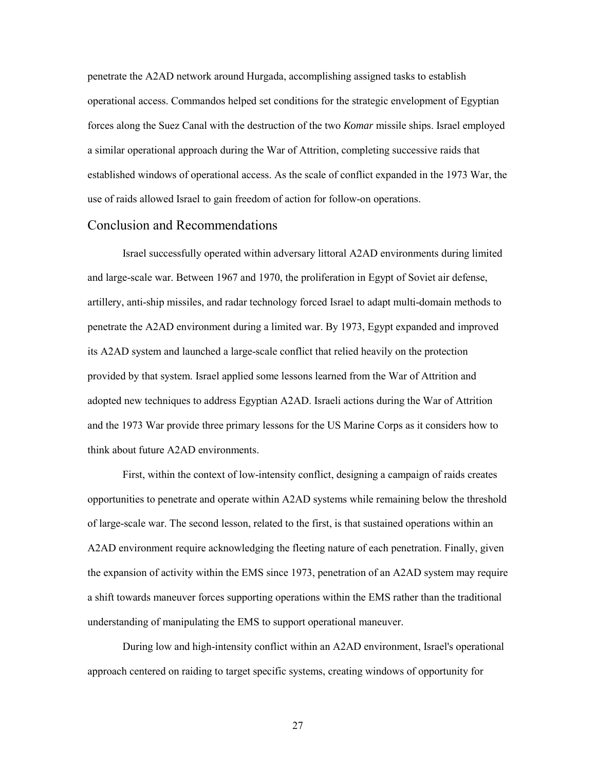penetrate the A2AD network around Hurgada, accomplishing assigned tasks to establish operational access. Commandos helped set conditions for the strategic envelopment of Egyptian forces along the Suez Canal with the destruction of the two *Komar* missile ships. Israel employed a similar operational approach during the War of Attrition, completing successive raids that established windows of operational access. As the scale of conflict expanded in the 1973 War, the use of raids allowed Israel to gain freedom of action for follow-on operations.

#### <span id="page-33-0"></span>Conclusion and Recommendations

Israel successfully operated within adversary littoral A2AD environments during limited and large-scale war. Between 1967 and 1970, the proliferation in Egypt of Soviet air defense, artillery, anti-ship missiles, and radar technology forced Israel to adapt multi-domain methods to penetrate the A2AD environment during a limited war. By 1973, Egypt expanded and improved its A2AD system and launched a large-scale conflict that relied heavily on the protection provided by that system. Israel applied some lessons learned from the War of Attrition and adopted new techniques to address Egyptian A2AD. Israeli actions during the War of Attrition and the 1973 War provide three primary lessons for the US Marine Corps as it considers how to think about future A2AD environments.

First, within the context of low-intensity conflict, designing a campaign of raids creates opportunities to penetrate and operate within A2AD systems while remaining below the threshold of large-scale war. The second lesson, related to the first, is that sustained operations within an A2AD environment require acknowledging the fleeting nature of each penetration. Finally, given the expansion of activity within the EMS since 1973, penetration of an A2AD system may require a shift towards maneuver forces supporting operations within the EMS rather than the traditional understanding of manipulating the EMS to support operational maneuver.

During low and high-intensity conflict within an A2AD environment, Israel's operational approach centered on raiding to target specific systems, creating windows of opportunity for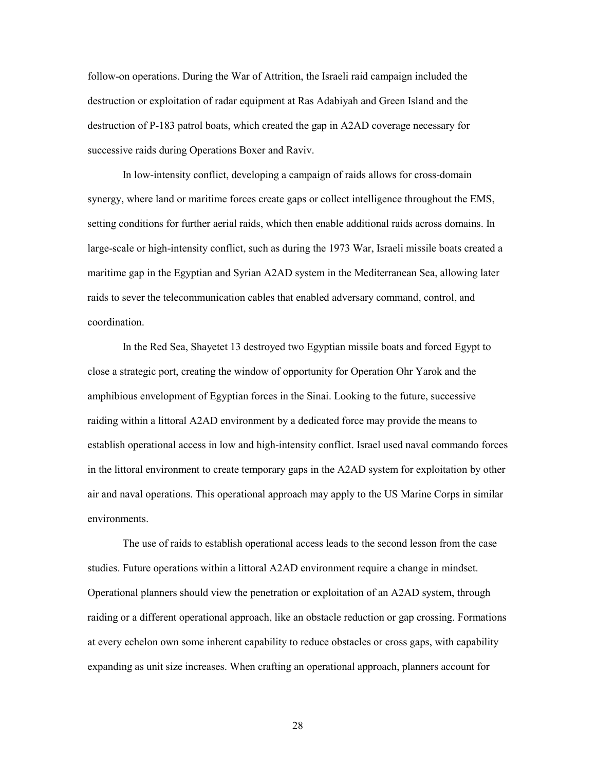follow-on operations. During the War of Attrition, the Israeli raid campaign included the destruction or exploitation of radar equipment at Ras Adabiyah and Green Island and the destruction of P-183 patrol boats, which created the gap in A2AD coverage necessary for successive raids during Operations Boxer and Raviv.

In low-intensity conflict, developing a campaign of raids allows for cross-domain synergy, where land or maritime forces create gaps or collect intelligence throughout the EMS, setting conditions for further aerial raids, which then enable additional raids across domains. In large-scale or high-intensity conflict, such as during the 1973 War, Israeli missile boats created a maritime gap in the Egyptian and Syrian A2AD system in the Mediterranean Sea, allowing later raids to sever the telecommunication cables that enabled adversary command, control, and coordination.

In the Red Sea, Shayetet 13 destroyed two Egyptian missile boats and forced Egypt to close a strategic port, creating the window of opportunity for Operation Ohr Yarok and the amphibious envelopment of Egyptian forces in the Sinai. Looking to the future, successive raiding within a littoral A2AD environment by a dedicated force may provide the means to establish operational access in low and high-intensity conflict. Israel used naval commando forces in the littoral environment to create temporary gaps in the A2AD system for exploitation by other air and naval operations. This operational approach may apply to the US Marine Corps in similar environments.

The use of raids to establish operational access leads to the second lesson from the case studies. Future operations within a littoral A2AD environment require a change in mindset. Operational planners should view the penetration or exploitation of an A2AD system, through raiding or a different operational approach, like an obstacle reduction or gap crossing. Formations at every echelon own some inherent capability to reduce obstacles or cross gaps, with capability expanding as unit size increases. When crafting an operational approach, planners account for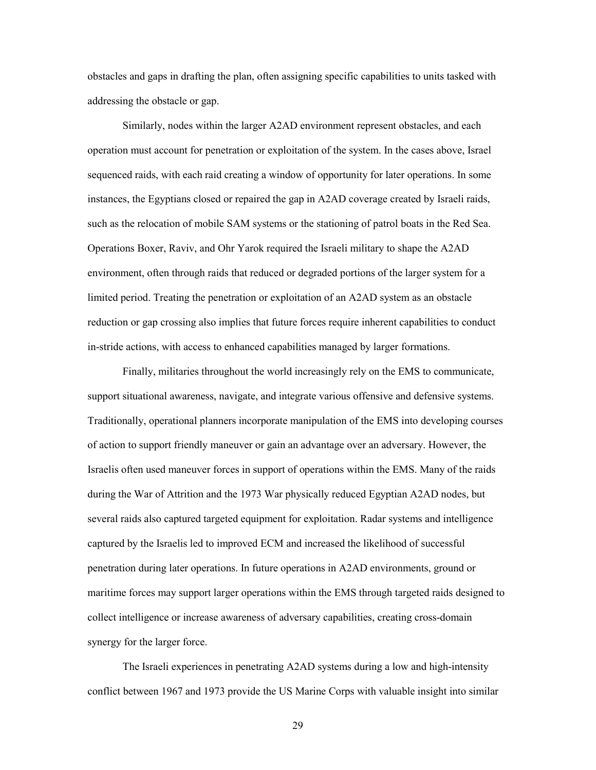obstacles and gaps in drafting the plan, often assigning specific capabilities to units tasked with addressing the obstacle or gap.

Similarly, nodes within the larger A2AD environment represent obstacles, and each operation must account for penetration or exploitation of the system. In the cases above, Israel sequenced raids, with each raid creating a window of opportunity for later operations. In some instances, the Egyptians closed or repaired the gap in A2AD coverage created by Israeli raids, such as the relocation of mobile SAM systems or the stationing of patrol boats in the Red Sea. Operations Boxer, Raviv, and Ohr Yarok required the Israeli military to shape the A2AD environment, often through raids that reduced or degraded portions of the larger system for a limited period. Treating the penetration or exploitation of an A2AD system as an obstacle reduction or gap crossing also implies that future forces require inherent capabilities to conduct in-stride actions, with access to enhanced capabilities managed by larger formations.

Finally, militaries throughout the world increasingly rely on the EMS to communicate, support situational awareness, navigate, and integrate various offensive and defensive systems. Traditionally, operational planners incorporate manipulation of the EMS into developing courses of action to support friendly maneuver or gain an advantage over an adversary. However, the Israelis often used maneuver forces in support of operations within the EMS. Many of the raids during the War of Attrition and the 1973 War physically reduced Egyptian A2AD nodes, but several raids also captured targeted equipment for exploitation. Radar systems and intelligence captured by the Israelis led to improved ECM and increased the likelihood of successful penetration during later operations. In future operations in A2AD environments, ground or maritime forces may support larger operations within the EMS through targeted raids designed to collect intelligence or increase awareness of adversary capabilities, creating cross-domain synergy for the larger force.

The Israeli experiences in penetrating A2AD systems during a low and high-intensity conflict between 1967 and 1973 provide the US Marine Corps with valuable insight into similar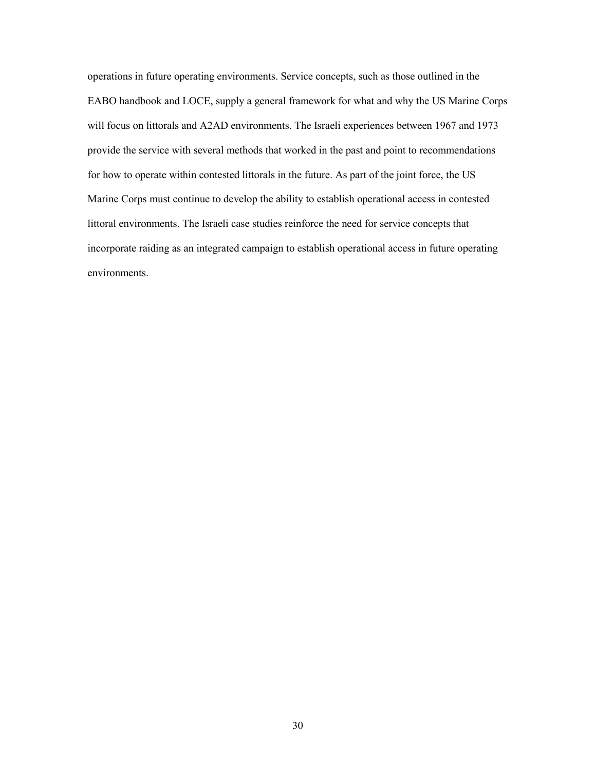<span id="page-36-0"></span>operations in future operating environments. Service concepts, such as those outlined in the EABO handbook and LOCE, supply a general framework for what and why the US Marine Corps will focus on littorals and A2AD environments. The Israeli experiences between 1967 and 1973 provide the service with several methods that worked in the past and point to recommendations for how to operate within contested littorals in the future. As part of the joint force, the US Marine Corps must continue to develop the ability to establish operational access in contested littoral environments. The Israeli case studies reinforce the need for service concepts that incorporate raiding as an integrated campaign to establish operational access in future operating environments.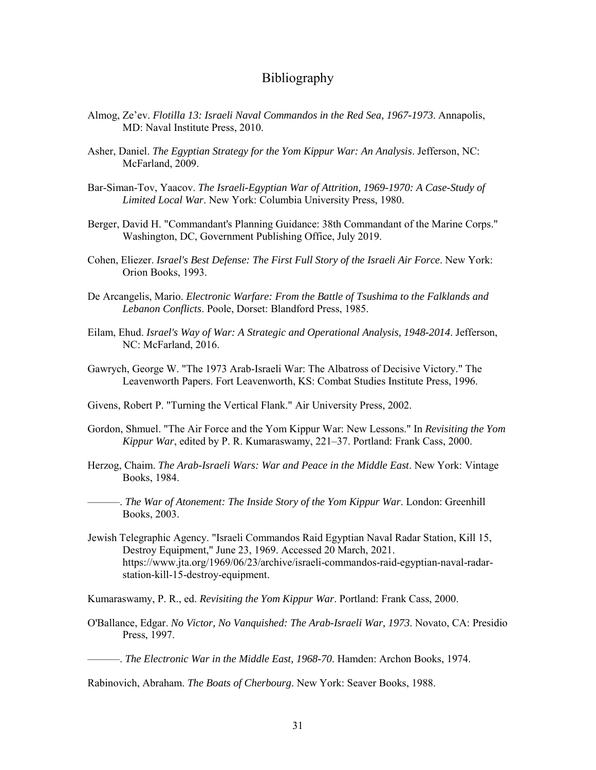## Bibliography

- Almog, Ze'ev. *Flotilla 13: Israeli Naval Commandos in the Red Sea, 1967-1973*. Annapolis, MD: Naval Institute Press, 2010.
- Asher, Daniel. *The Egyptian Strategy for the Yom Kippur War: An Analysis*. Jefferson, NC: McFarland, 2009.
- Bar-Siman-Tov, Yaacov. *The Israeli-Egyptian War of Attrition, 1969-1970: A Case-Study of Limited Local War*. New York: Columbia University Press, 1980.
- Berger, David H. "Commandant's Planning Guidance: 38th Commandant of the Marine Corps." Washington, DC, Government Publishing Office, July 2019.
- Cohen, Eliezer. *Israel's Best Defense: The First Full Story of the Israeli Air Force*. New York: Orion Books, 1993.
- De Arcangelis, Mario. *Electronic Warfare: From the Battle of Tsushima to the Falklands and Lebanon Conflicts*. Poole, Dorset: Blandford Press, 1985.
- Eilam, Ehud. *Israel's Way of War: A Strategic and Operational Analysis, 1948-2014*. Jefferson, NC: McFarland, 2016.
- Gawrych, George W. "The 1973 Arab-Israeli War: The Albatross of Decisive Victory." The Leavenworth Papers. Fort Leavenworth, KS: Combat Studies Institute Press, 1996.
- Givens, Robert P. "Turning the Vertical Flank." Air University Press, 2002.
- Gordon, Shmuel. "The Air Force and the Yom Kippur War: New Lessons." In *Revisiting the Yom Kippur War*, edited by P. R. Kumaraswamy, 221–37. Portland: Frank Cass, 2000.
- Herzog, Chaim. *The Arab-Israeli Wars: War and Peace in the Middle East*. New York: Vintage Books, 1984.
- ———. *The War of Atonement: The Inside Story of the Yom Kippur War*. London: Greenhill Books, 2003.
- Jewish Telegraphic Agency. "Israeli Commandos Raid Egyptian Naval Radar Station, Kill 15, Destroy Equipment," June 23, 1969. Accessed 20 March, 2021. [https://www.jta.org/1969/06/23/archive/israeli-commandos-raid-egyptian-naval-radar](https://www.jta.org/1969/06/23/archive/israeli-commandos-raid-egyptian-naval-radar-station-kill-15-destroy-equipment)[station-kill-15-destroy-equipment.](https://www.jta.org/1969/06/23/archive/israeli-commandos-raid-egyptian-naval-radar-station-kill-15-destroy-equipment)

Kumaraswamy, P. R., ed. *Revisiting the Yom Kippur War*. Portland: Frank Cass, 2000.

O'Ballance, Edgar. *No Victor, No Vanquished: The Arab-Israeli War, 1973*. Novato, CA: Presidio Press, 1997.

———. *The Electronic War in the Middle East, 1968-70*. Hamden: Archon Books, 1974.

Rabinovich, Abraham. *The Boats of Cherbourg*. New York: Seaver Books, 1988.